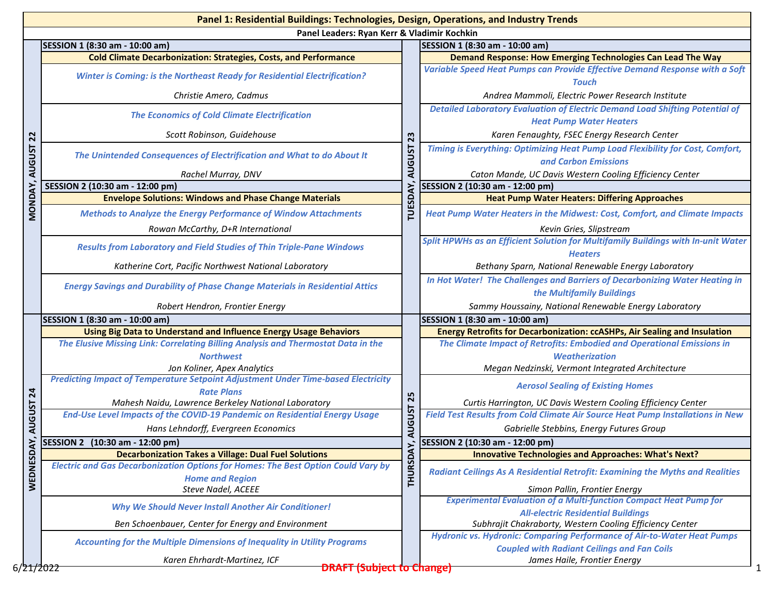|                       | Panel 1: Residential Buildings: Technologies, Design, Operations, and Industry Trends                              |                 |                                                                                                                               |  |  |  |  |  |
|-----------------------|--------------------------------------------------------------------------------------------------------------------|-----------------|-------------------------------------------------------------------------------------------------------------------------------|--|--|--|--|--|
|                       | Panel Leaders: Ryan Kerr & Vladimir Kochkin                                                                        |                 |                                                                                                                               |  |  |  |  |  |
|                       | SESSION 1 (8:30 am - 10:00 am)                                                                                     |                 | SESSION 1 (8:30 am - 10:00 am)                                                                                                |  |  |  |  |  |
|                       | <b>Cold Climate Decarbonization: Strategies, Costs, and Performance</b>                                            |                 | <b>Demand Response: How Emerging Technologies Can Lead The Way</b>                                                            |  |  |  |  |  |
|                       | <b>Winter is Coming: is the Northeast Ready for Residential Electrification?</b>                                   |                 | Variable Speed Heat Pumps can Provide Effective Demand Response with a Soft<br>Touch                                          |  |  |  |  |  |
|                       | Christie Amero, Cadmus                                                                                             |                 | Andrea Mammoli, Electric Power Research Institute                                                                             |  |  |  |  |  |
|                       | <b>The Economics of Cold Climate Electrification</b>                                                               |                 | <b>Detailed Laboratory Evaluation of Electric Demand Load Shifting Potential of</b><br><b>Heat Pump Water Heaters</b>         |  |  |  |  |  |
|                       | Scott Robinson, Guidehouse                                                                                         | 23              | Karen Fenaughty, FSEC Energy Research Center                                                                                  |  |  |  |  |  |
| MONDAY, AUGUST 22     | The Unintended Consequences of Electrification and What to do About It                                             | <b>AUGUST</b>   | Timing is Everything: Optimizing Heat Pump Load Flexibility for Cost, Comfort,<br>and Carbon Emissions                        |  |  |  |  |  |
|                       | Rachel Murray, DNV                                                                                                 |                 | Caton Mande, UC Davis Western Cooling Efficiency Center                                                                       |  |  |  |  |  |
|                       | SESSION 2 (10:30 am - 12:00 pm)                                                                                    |                 | SESSION 2 (10:30 am - 12:00 pm)                                                                                               |  |  |  |  |  |
|                       | <b>Envelope Solutions: Windows and Phase Change Materials</b>                                                      |                 | <b>Heat Pump Water Heaters: Differing Approaches</b>                                                                          |  |  |  |  |  |
|                       | <b>Methods to Analyze the Energy Performance of Window Attachments</b>                                             | <b>TUESDAY,</b> | <b>Heat Pump Water Heaters in the Midwest: Cost, Comfort, and Climate Impacts</b>                                             |  |  |  |  |  |
|                       | Rowan McCarthy, D+R International                                                                                  |                 | Kevin Gries, Slipstream                                                                                                       |  |  |  |  |  |
|                       | <b>Results from Laboratory and Field Studies of Thin Triple-Pane Windows</b>                                       |                 | Split HPWHs as an Efficient Solution for Multifamily Buildings with In-unit Water                                             |  |  |  |  |  |
|                       |                                                                                                                    |                 | <b>Heaters</b>                                                                                                                |  |  |  |  |  |
|                       | Katherine Cort, Pacific Northwest National Laboratory                                                              |                 | Bethany Sparn, National Renewable Energy Laboratory                                                                           |  |  |  |  |  |
|                       | <b>Energy Savings and Durability of Phase Change Materials in Residential Attics</b>                               |                 | In Hot Water! The Challenges and Barriers of Decarbonizing Water Heating in<br>the Multifamily Buildings                      |  |  |  |  |  |
|                       | Robert Hendron, Frontier Energy                                                                                    |                 | Sammy Houssainy, National Renewable Energy Laboratory                                                                         |  |  |  |  |  |
|                       | SESSION 1 (8:30 am - 10:00 am)                                                                                     | 25              | SESSION 1 (8:30 am - 10:00 am)                                                                                                |  |  |  |  |  |
|                       | <b>Using Big Data to Understand and Influence Energy Usage Behaviors</b>                                           |                 | Energy Retrofits for Decarbonization: ccASHPs, Air Sealing and Insulation                                                     |  |  |  |  |  |
|                       | The Elusive Missing Link: Correlating Billing Analysis and Thermostat Data in the                                  |                 | The Climate Impact of Retrofits: Embodied and Operational Emissions in                                                        |  |  |  |  |  |
|                       | <b>Northwest</b>                                                                                                   |                 | Weatherization                                                                                                                |  |  |  |  |  |
|                       | Jon Koliner, Apex Analytics                                                                                        |                 | Megan Nedzinski, Vermont Integrated Architecture                                                                              |  |  |  |  |  |
|                       | <b>Predicting Impact of Temperature Setpoint Adjustment Under Time-based Electricity</b><br><b>Rate Plans</b>      |                 | <b>Aerosol Sealing of Existing Homes</b>                                                                                      |  |  |  |  |  |
|                       | Mahesh Naidu, Lawrence Berkeley National Laboratory                                                                |                 | Curtis Harrington, UC Davis Western Cooling Efficiency Center                                                                 |  |  |  |  |  |
|                       | End-Use Level Impacts of the COVID-19 Pandemic on Residential Energy Usage                                         |                 | Field Test Results from Cold Climate Air Source Heat Pump Installations in New                                                |  |  |  |  |  |
| AUGUST 24             | Hans Lehndorff, Evergreen Economics                                                                                | <b>AUGUST</b>   | Gabrielle Stebbins, Energy Futures Group                                                                                      |  |  |  |  |  |
| ξ.                    | SESSION 2 (10:30 am - 12:00 pm)                                                                                    | ≍               | SESSION 2 (10:30 am - 12:00 pm)                                                                                               |  |  |  |  |  |
|                       | <b>Decarbonization Takes a Village: Dual Fuel Solutions</b>                                                        |                 | <b>Innovative Technologies and Approaches: What's Next?</b>                                                                   |  |  |  |  |  |
| WEDNESD               | <b>Electric and Gas Decarbonization Options for Homes: The Best Option Could Vary by</b><br><b>Home and Region</b> | <b>THURSDA</b>  | <b>Radiant Ceilings As A Residential Retrofit: Examining the Myths and Realities</b>                                          |  |  |  |  |  |
|                       | <b>Steve Nadel, ACEEE</b>                                                                                          |                 | Simon Pallin, Frontier Energy                                                                                                 |  |  |  |  |  |
|                       | <b>Why We Should Never Install Another Air Conditioner!</b>                                                        |                 | <b>Experimental Evaluation of a Multi-function Compact Heat Pump for</b><br><b>All-electric Residential Buildings</b>         |  |  |  |  |  |
|                       | Ben Schoenbauer, Center for Energy and Environment                                                                 |                 | Subhrajit Chakraborty, Western Cooling Efficiency Center                                                                      |  |  |  |  |  |
|                       | <b>Accounting for the Multiple Dimensions of Inequality in Utility Programs</b>                                    |                 | Hydronic vs. Hydronic: Comparing Performance of Air-to-Water Heat Pumps<br><b>Coupled with Radiant Ceilings and Fan Coils</b> |  |  |  |  |  |
|                       | Karen Ehrhardt-Martinez, ICF                                                                                       |                 | James Haile, Frontier Energy                                                                                                  |  |  |  |  |  |
| 6/ <del>21/2022</del> | <b>DRAFT (Subject to Change)</b>                                                                                   |                 |                                                                                                                               |  |  |  |  |  |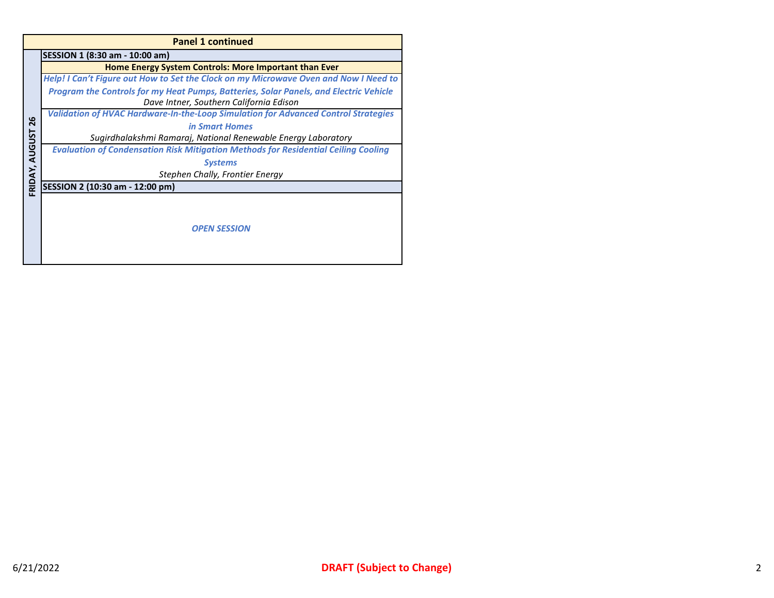|                | <b>Panel 1 continued</b>                                                                  |  |  |  |  |
|----------------|-------------------------------------------------------------------------------------------|--|--|--|--|
|                | SESSION 1 (8:30 am - 10:00 am)                                                            |  |  |  |  |
|                | Home Energy System Controls: More Important than Ever                                     |  |  |  |  |
|                | Help! I Can't Figure out How to Set the Clock on my Microwave Oven and Now I Need to      |  |  |  |  |
|                | Program the Controls for my Heat Pumps, Batteries, Solar Panels, and Electric Vehicle     |  |  |  |  |
|                | Dave Intner, Southern California Edison                                                   |  |  |  |  |
|                | <b>Validation of HVAC Hardware-In-the-Loop Simulation for Advanced Control Strategies</b> |  |  |  |  |
| 26             | in Smart Homes                                                                            |  |  |  |  |
|                | Sugirdhalakshmi Ramaraj, National Renewable Energy Laboratory                             |  |  |  |  |
|                | <b>Evaluation of Condensation Risk Mitigation Methods for Residential Ceiling Cooling</b> |  |  |  |  |
|                | <b>Systems</b>                                                                            |  |  |  |  |
|                | Stephen Chally, Frontier Energy                                                           |  |  |  |  |
| FRIDAY, AUGUST | SESSION 2 (10:30 am - 12:00 pm)                                                           |  |  |  |  |
|                |                                                                                           |  |  |  |  |
|                |                                                                                           |  |  |  |  |
|                | <b>OPEN SESSION</b>                                                                       |  |  |  |  |
|                |                                                                                           |  |  |  |  |
|                |                                                                                           |  |  |  |  |
|                |                                                                                           |  |  |  |  |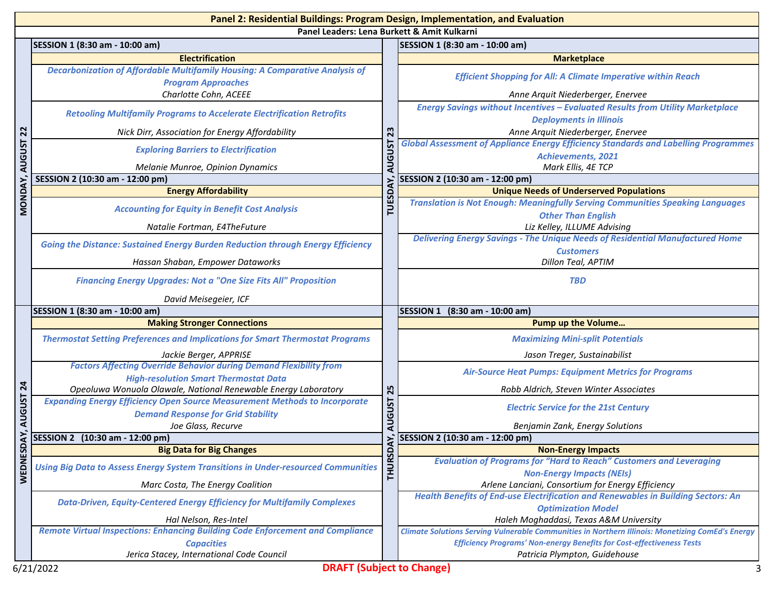|                      | Panel 2: Residential Buildings: Program Design, Implementation, and Evaluation                      |                                |                                                                                                                            |  |  |
|----------------------|-----------------------------------------------------------------------------------------------------|--------------------------------|----------------------------------------------------------------------------------------------------------------------------|--|--|
|                      | Panel Leaders: Lena Burkett & Amit Kulkarni                                                         |                                |                                                                                                                            |  |  |
|                      | SESSION 1 (8:30 am - 10:00 am)                                                                      |                                | SESSION 1 (8:30 am - 10:00 am)                                                                                             |  |  |
|                      | <b>Electrification</b>                                                                              |                                | <b>Marketplace</b>                                                                                                         |  |  |
|                      | Decarbonization of Affordable Multifamily Housing: A Comparative Analysis of                        |                                | <b>Efficient Shopping for All: A Climate Imperative within Reach</b>                                                       |  |  |
|                      | <b>Program Approaches</b><br>Charlotte Cohn, ACEEE                                                  |                                |                                                                                                                            |  |  |
|                      |                                                                                                     |                                | Anne Arquit Niederberger, Enervee<br><b>Energy Savings without Incentives - Evaluated Results from Utility Marketplace</b> |  |  |
|                      | <b>Retooling Multifamily Programs to Accelerate Electrification Retrofits</b>                       | <b>Deployments in Illinois</b> |                                                                                                                            |  |  |
|                      | Nick Dirr, Association for Energy Affordability                                                     | 23                             | Anne Arquit Niederberger, Enervee                                                                                          |  |  |
| AUGUST <sub>22</sub> |                                                                                                     |                                | <b>Global Assessment of Appliance Energy Efficiency Standards and Labelling Programmes</b>                                 |  |  |
|                      | <b>AUGUST</b><br><b>Exploring Barriers to Electrification</b>                                       | <b>Achievements, 2021</b>      |                                                                                                                            |  |  |
|                      | Melanie Munroe, Opinion Dynamics                                                                    |                                | Mark Ellis, 4E TCP                                                                                                         |  |  |
| MONDAY,              | SESSION 2 (10:30 am - 12:00 pm)                                                                     | <b>DAY</b>                     | SESSION 2 (10:30 am - 12:00 pm)                                                                                            |  |  |
|                      | <b>Energy Affordability</b>                                                                         |                                | <b>Unique Needs of Underserved Populations</b>                                                                             |  |  |
|                      | <b>Accounting for Equity in Benefit Cost Analysis</b>                                               | TUESI                          | <b>Translation is Not Enough: Meaningfully Serving Communities Speaking Languages</b>                                      |  |  |
|                      |                                                                                                     |                                | <b>Other Than English</b>                                                                                                  |  |  |
|                      | Natalie Fortman, E4TheFuture                                                                        |                                | Liz Kelley, ILLUME Advising<br><b>Delivering Energy Savings - The Unique Needs of Residential Manufactured Home</b>        |  |  |
|                      | <b>Going the Distance: Sustained Energy Burden Reduction through Energy Efficiency</b>              |                                | <b>Customers</b>                                                                                                           |  |  |
|                      | Hassan Shaban, Empower Dataworks                                                                    |                                | Dillon Teal, APTIM                                                                                                         |  |  |
|                      | <b>Financing Energy Upgrades: Not a "One Size Fits All" Proposition</b>                             |                                | <b>TBD</b>                                                                                                                 |  |  |
|                      |                                                                                                     |                                |                                                                                                                            |  |  |
|                      | David Meisegeier, ICF<br>SESSION 1 (8:30 am - 10:00 am)                                             |                                | SESSION 1 (8:30 am - 10:00 am)                                                                                             |  |  |
|                      | <b>Making Stronger Connections</b>                                                                  |                                | <b>Pump up the Volume</b>                                                                                                  |  |  |
|                      | <b>Thermostat Setting Preferences and Implications for Smart Thermostat Programs</b>                |                                | <b>Maximizing Mini-split Potentials</b>                                                                                    |  |  |
|                      |                                                                                                     |                                |                                                                                                                            |  |  |
|                      | Jackie Berger, APPRISE<br><b>Factors Affecting Override Behavior during Demand Flexibility from</b> |                                | Jason Treger, Sustainabilist                                                                                               |  |  |
|                      | <b>High-resolution Smart Thermostat Data</b>                                                        |                                | <b>Air-Source Heat Pumps: Equipment Metrics for Programs</b>                                                               |  |  |
| $\overline{24}$      | Opeoluwa Wonuola Olawale, National Renewable Energy Laboratory                                      | 25                             | Robb Aldrich, Steven Winter Associates                                                                                     |  |  |
| <b>AUGUST</b>        | <b>Expanding Energy Efficiency Open Source Measurement Methods to Incorporate</b>                   |                                |                                                                                                                            |  |  |
|                      | <b>Demand Response for Grid Stability</b>                                                           | <b>AUGUST</b>                  | <b>Electric Service for the 21st Century</b>                                                                               |  |  |
|                      | Joe Glass, Recurve                                                                                  |                                | Benjamin Zank, Energy Solutions                                                                                            |  |  |
| DAY,                 | SESSION 2 (10:30 am - 12:00 pm)                                                                     | λ.                             | SESSION 2 (10:30 am - 12:00 pm)                                                                                            |  |  |
|                      | <b>Big Data for Big Changes</b>                                                                     |                                | <b>Non-Energy Impacts</b>                                                                                                  |  |  |
| WEDNES               | <b>Using Big Data to Assess Energy System Transitions in Under-resourced Communities</b>            | <b>THURSD</b>                  | <b>Evaluation of Programs for "Hard to Reach" Customers and Leveraging</b><br><b>Non-Energy Impacts (NEIs)</b>             |  |  |
|                      | Marc Costa, The Energy Coalition                                                                    |                                | Arlene Lanciani, Consortium for Energy Efficiency                                                                          |  |  |
|                      |                                                                                                     |                                | <b>Health Benefits of End-use Electrification and Renewables in Building Sectors: An</b>                                   |  |  |
|                      | <b>Data-Driven, Equity-Centered Energy Efficiency for Multifamily Complexes</b>                     |                                | <b>Optimization Model</b>                                                                                                  |  |  |
|                      | Hal Nelson, Res-Intel                                                                               |                                | Haleh Moghaddasi, Texas A&M University                                                                                     |  |  |
|                      | <b>Remote Virtual Inspections: Enhancing Building Code Enforcement and Compliance</b>               |                                | <b>Climate Solutions Serving Vulnerable Communities in Northern Illinois: Monetizing ComEd's Energy</b>                    |  |  |
|                      | <b>Capacities</b>                                                                                   |                                | <b>Efficiency Programs' Non-energy Benefits for Cost-effectiveness Tests</b>                                               |  |  |
|                      | Jerica Stacey, International Code Council                                                           |                                | Patricia Plympton, Guidehouse                                                                                              |  |  |
|                      | <b>DRAFT (Subject to Change)</b><br>6/21/2022                                                       |                                |                                                                                                                            |  |  |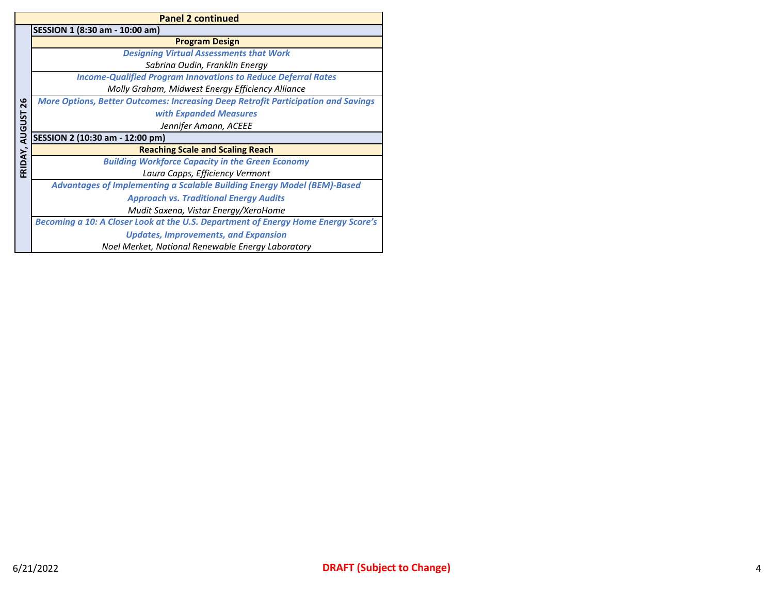|               | <b>Panel 2 continued</b>                                                                 |  |  |  |  |
|---------------|------------------------------------------------------------------------------------------|--|--|--|--|
|               | SESSION 1 (8:30 am - 10:00 am)                                                           |  |  |  |  |
|               | <b>Program Design</b>                                                                    |  |  |  |  |
|               | <b>Designing Virtual Assessments that Work</b>                                           |  |  |  |  |
|               | Sabrina Oudin, Franklin Energy                                                           |  |  |  |  |
|               | <b>Income-Qualified Program Innovations to Reduce Deferral Rates</b>                     |  |  |  |  |
|               | Molly Graham, Midwest Energy Efficiency Alliance                                         |  |  |  |  |
| 26            | <b>More Options, Better Outcomes: Increasing Deep Retrofit Participation and Savings</b> |  |  |  |  |
|               | with Expanded Measures                                                                   |  |  |  |  |
|               | Jennifer Amann, ACEEE                                                                    |  |  |  |  |
| <b>AUGUST</b> | SESSION 2 (10:30 am - 12:00 pm)                                                          |  |  |  |  |
|               | <b>Reaching Scale and Scaling Reach</b>                                                  |  |  |  |  |
| FRIDAY,       | <b>Building Workforce Capacity in the Green Economy</b>                                  |  |  |  |  |
|               | Laura Capps, Efficiency Vermont                                                          |  |  |  |  |
|               | <b>Advantages of Implementing a Scalable Building Energy Model (BEM)-Based</b>           |  |  |  |  |
|               | <b>Approach vs. Traditional Energy Audits</b>                                            |  |  |  |  |
|               | Mudit Saxena, Vistar Energy/XeroHome                                                     |  |  |  |  |
|               | Becoming a 10: A Closer Look at the U.S. Department of Energy Home Energy Score's        |  |  |  |  |
|               | <b>Updates, Improvements, and Expansion</b>                                              |  |  |  |  |
|               | Noel Merket, National Renewable Energy Laboratory                                        |  |  |  |  |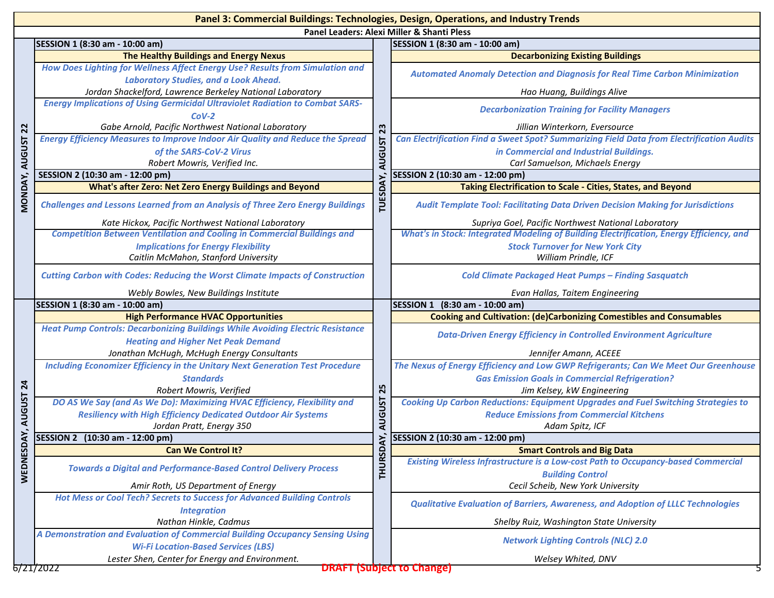|                | Panel 3: Commercial Buildings: Technologies, Design, Operations, and Industry Trends                                               |               |                                                                                           |  |  |  |
|----------------|------------------------------------------------------------------------------------------------------------------------------------|---------------|-------------------------------------------------------------------------------------------|--|--|--|
|                | Panel Leaders: Alexi Miller & Shanti Pless                                                                                         |               |                                                                                           |  |  |  |
|                | SESSION 1 (8:30 am - 10:00 am)                                                                                                     |               | SESSION 1 (8:30 am - 10:00 am)                                                            |  |  |  |
|                | The Healthy Buildings and Energy Nexus                                                                                             |               | <b>Decarbonizing Existing Buildings</b>                                                   |  |  |  |
|                | How Does Lighting for Wellness Affect Energy Use? Results from Simulation and<br><b>Laboratory Studies, and a Look Ahead.</b>      |               | <b>Automated Anomaly Detection and Diagnosis for Real Time Carbon Minimization</b>        |  |  |  |
|                | Jordan Shackelford, Lawrence Berkeley National Laboratory                                                                          |               | Hao Huang, Buildings Alive                                                                |  |  |  |
|                | <b>Energy Implications of Using Germicidal Ultraviolet Radiation to Combat SARS-</b><br>$COV-2$                                    |               | <b>Decarbonization Training for Facility Managers</b>                                     |  |  |  |
| $\overline{2}$ | Gabe Arnold, Pacific Northwest National Laboratory                                                                                 | 23            | Jillian Winterkorn, Eversource                                                            |  |  |  |
|                | <b>Energy Efficiency Measures to Improve Indoor Air Quality and Reduce the Spread</b>                                              |               | Can Electrification Find a Sweet Spot? Summarizing Field Data from Electrification Audits |  |  |  |
|                | of the SARS-CoV-2 Virus                                                                                                            |               | in Commercial and Industrial Buildings.                                                   |  |  |  |
| <b>AUGUST</b>  | Robert Mowris, Verified Inc.                                                                                                       | <b>AUGUST</b> | Carl Samuelson, Michaels Energy                                                           |  |  |  |
|                | SESSION 2 (10:30 am - 12:00 pm)                                                                                                    |               | SESSION 2 (10:30 am - 12:00 pm)                                                           |  |  |  |
|                | <b>What's after Zero: Net Zero Energy Buildings and Beyond</b>                                                                     | ۵             | Taking Electrification to Scale - Cities, States, and Beyond                              |  |  |  |
| MONDAY,        | <b>Challenges and Lessons Learned from an Analysis of Three Zero Energy Buildings</b>                                              | Ë             | <b>Audit Template Tool: Facilitating Data Driven Decision Making for Jurisdictions</b>    |  |  |  |
|                | Kate Hickox, Pacific Northwest National Laboratory                                                                                 |               | Supriya Goel, Pacific Northwest National Laboratory                                       |  |  |  |
|                | <b>Competition Between Ventilation and Cooling in Commercial Buildings and</b>                                                     |               | What's in Stock: Integrated Modeling of Building Electrification, Energy Efficiency, and  |  |  |  |
|                | <b>Implications for Energy Flexibility</b>                                                                                         |               | <b>Stock Turnover for New York City</b>                                                   |  |  |  |
|                | Caitlin McMahon, Stanford University                                                                                               |               | William Prindle, ICF                                                                      |  |  |  |
|                | <b>Cutting Carbon with Codes: Reducing the Worst Climate Impacts of Construction</b>                                               |               | <b>Cold Climate Packaged Heat Pumps - Finding Sasquatch</b>                               |  |  |  |
|                | Webly Bowles, New Buildings Institute                                                                                              |               | Evan Hallas, Taitem Engineering                                                           |  |  |  |
|                | SESSION 1 (8:30 am - 10:00 am)                                                                                                     |               | SESSION 1 (8:30 am - 10:00 am)                                                            |  |  |  |
|                |                                                                                                                                    |               |                                                                                           |  |  |  |
|                | <b>High Performance HVAC Opportunities</b>                                                                                         |               | <b>Cooking and Cultivation: (de)Carbonizing Comestibles and Consumables</b>               |  |  |  |
|                | <b>Heat Pump Controls: Decarbonizing Buildings While Avoiding Electric Resistance</b>                                              |               | <b>Data-Driven Energy Efficiency in Controlled Environment Agriculture</b>                |  |  |  |
|                | <b>Heating and Higher Net Peak Demand</b>                                                                                          |               | Jennifer Amann, ACEEE                                                                     |  |  |  |
|                | Jonathan McHugh, McHugh Energy Consultants<br><b>Including Economizer Efficiency in the Unitary Next Generation Test Procedure</b> |               | The Nexus of Energy Efficiency and Low GWP Refrigerants; Can We Meet Our Greenhouse       |  |  |  |
|                | <b>Standards</b>                                                                                                                   |               |                                                                                           |  |  |  |
| $\mathbf{z}$   |                                                                                                                                    |               | <b>Gas Emission Goals in Commercial Refrigeration?</b>                                    |  |  |  |
|                | Robert Mowris, Verified<br>DO AS We Say (and As We Do): Maximizing HVAC Efficiency, Flexibility and                                | 25            | Jim Kelsey, kW Engineering                                                                |  |  |  |
|                |                                                                                                                                    |               | <b>Cooking Up Carbon Reductions: Equipment Upgrades and Fuel Switching Strategies to</b>  |  |  |  |
| <b>AUGUST</b>  | <b>Resiliency with High Efficiency Dedicated Outdoor Air Systems</b>                                                               | <b>AUGUST</b> | <b>Reduce Emissions from Commercial Kitchens</b>                                          |  |  |  |
|                | Jordan Pratt, Energy 350<br>SESSION 2 (10:30 am - 12:00 pm)                                                                        |               | Adam Spitz, ICF<br>SESSION 2 (10:30 am - 12:00 pm)                                        |  |  |  |
|                | <b>Can We Control It?</b>                                                                                                          | <b>DAY</b>    | <b>Smart Controls and Big Data</b>                                                        |  |  |  |
|                | <b>Towards a Digital and Performance-Based Control Delivery Process</b>                                                            |               | Existing Wireless Infrastructure is a Low-cost Path to Occupancy-based Commercial         |  |  |  |
| WEDNESDAY      |                                                                                                                                    | <b>THURS</b>  | <b>Building Control</b>                                                                   |  |  |  |
|                | Amir Roth, US Department of Energy                                                                                                 |               | Cecil Scheib, New York University                                                         |  |  |  |
|                | Hot Mess or Cool Tech? Secrets to Success for Advanced Building Controls                                                           |               | <b>Qualitative Evaluation of Barriers, Awareness, and Adoption of LLLC Technologies</b>   |  |  |  |
|                | <b>Integration</b><br>Nathan Hinkle, Cadmus                                                                                        |               | Shelby Ruiz, Washington State University                                                  |  |  |  |
|                | A Demonstration and Evaluation of Commercial Building Occupancy Sensing Using                                                      |               |                                                                                           |  |  |  |
|                | <b>Wi-Fi Location-Based Services (LBS)</b>                                                                                         |               | <b>Network Lighting Controls (NLC) 2.0</b>                                                |  |  |  |
|                | Lester Shen, Center for Energy and Environment.<br>672172022                                                                       |               | Welsey Whited, DNV<br><b>DRAFT (Subject to Change)</b>                                    |  |  |  |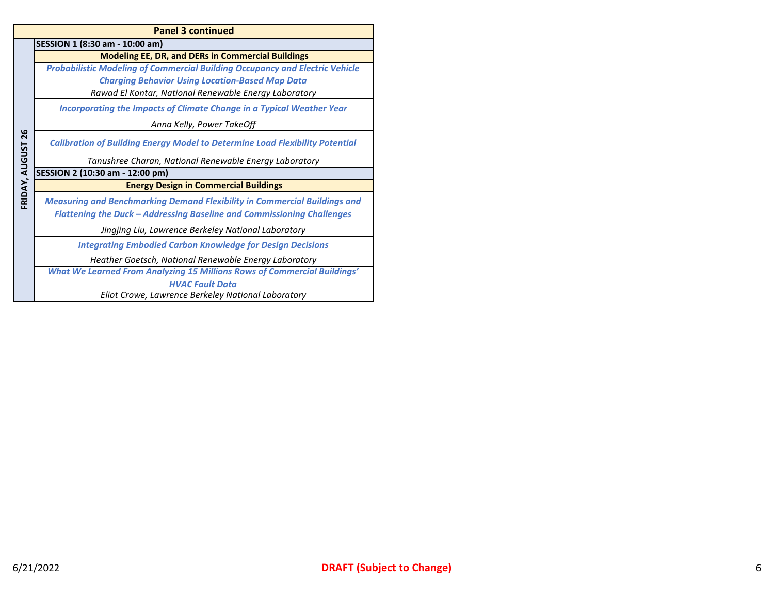|                | <b>Panel 3 continued</b>                                                            |  |  |  |  |
|----------------|-------------------------------------------------------------------------------------|--|--|--|--|
|                | SESSION 1 (8:30 am - 10:00 am)                                                      |  |  |  |  |
|                | <b>Modeling EE, DR, and DERs in Commercial Buildings</b>                            |  |  |  |  |
|                | <b>Probabilistic Modeling of Commercial Building Occupancy and Electric Vehicle</b> |  |  |  |  |
|                | <b>Charging Behavior Using Location-Based Map Data</b>                              |  |  |  |  |
|                | Rawad El Kontar, National Renewable Energy Laboratory                               |  |  |  |  |
|                | Incorporating the Impacts of Climate Change in a Typical Weather Year               |  |  |  |  |
|                | Anna Kelly, Power TakeOff                                                           |  |  |  |  |
| 26             | <b>Calibration of Building Energy Model to Determine Load Flexibility Potential</b> |  |  |  |  |
| FRIDAY, AUGUST | Tanushree Charan, National Renewable Energy Laboratory                              |  |  |  |  |
|                | SESSION 2 (10:30 am - 12:00 pm)                                                     |  |  |  |  |
|                | <b>Energy Design in Commercial Buildings</b>                                        |  |  |  |  |
|                | <b>Measuring and Benchmarking Demand Flexibility in Commercial Buildings and</b>    |  |  |  |  |
|                | <b>Flattening the Duck - Addressing Baseline and Commissioning Challenges</b>       |  |  |  |  |
|                | Jingjing Liu, Lawrence Berkeley National Laboratory                                 |  |  |  |  |
|                | <b>Integrating Embodied Carbon Knowledge for Design Decisions</b>                   |  |  |  |  |
|                | Heather Goetsch, National Renewable Energy Laboratory                               |  |  |  |  |
|                | <b>What We Learned From Analyzing 15 Millions Rows of Commercial Buildings'</b>     |  |  |  |  |
|                | <b>HVAC Fault Data</b>                                                              |  |  |  |  |
|                | Eliot Crowe, Lawrence Berkeley National Laboratory                                  |  |  |  |  |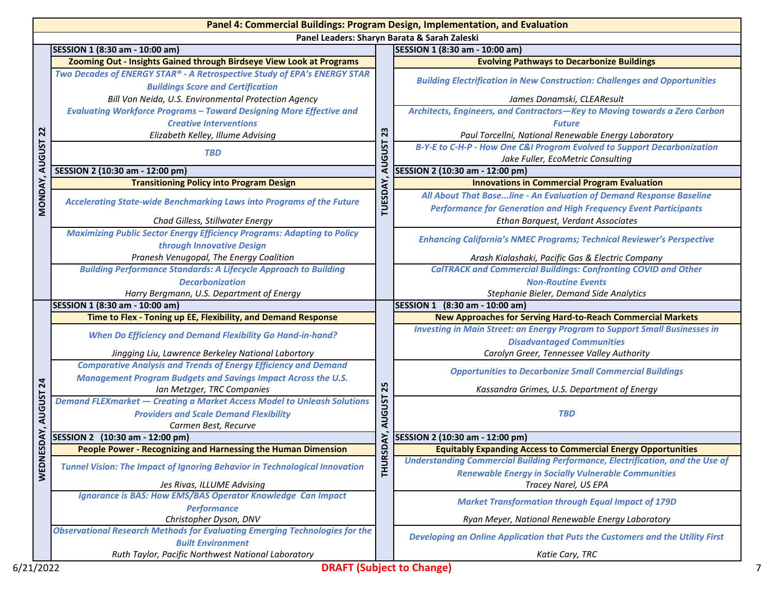|                      | Panel 4: Commercial Buildings: Program Design, Implementation, and Evaluation<br>Panel Leaders: Sharyn Barata & Sarah Zaleski                           |               |                                                                                                                                                                         |  |
|----------------------|---------------------------------------------------------------------------------------------------------------------------------------------------------|---------------|-------------------------------------------------------------------------------------------------------------------------------------------------------------------------|--|
|                      | SESSION 1 (8:30 am - 10:00 am)<br>SESSION 1 (8:30 am - 10:00 am)                                                                                        |               |                                                                                                                                                                         |  |
|                      | Zooming Out - Insights Gained through Birdseye View Look at Programs                                                                                    |               | <b>Evolving Pathways to Decarbonize Buildings</b>                                                                                                                       |  |
|                      | Two Decades of ENERGY STAR® - A Retrospective Study of EPA's ENERGY STAR<br><b>Buildings Score and Certification</b>                                    |               | <b>Building Electrification in New Construction: Challenges and Opportunities</b>                                                                                       |  |
|                      | Bill Von Neida, U.S. Environmental Protection Agency                                                                                                    |               | James Donamski, CLEAResult                                                                                                                                              |  |
|                      | <b>Evaluating Workforce Programs - Toward Designing More Effective and</b>                                                                              |               | Architects, Engineers, and Contractors-Key to Moving towards a Zero Carbon                                                                                              |  |
|                      | <b>Creative Interventions</b>                                                                                                                           |               | <b>Future</b>                                                                                                                                                           |  |
| 22                   | Elizabeth Kelley, Illume Advising                                                                                                                       | 23            | Paul Torcellni, National Renewable Energy Laboratory                                                                                                                    |  |
| <b>AUGUST</b>        | <b>TBD</b>                                                                                                                                              | <b>AUGUST</b> | B-Y-E to C-H-P - How One C&I Program Evolved to Support Decarbonization<br>Jake Fuller, EcoMetric Consulting                                                            |  |
|                      | SESSION 2 (10:30 am - 12:00 pm)                                                                                                                         |               | SESSION 2 (10:30 am - 12:00 pm)                                                                                                                                         |  |
|                      | <b>Transitioning Policy into Program Design</b>                                                                                                         |               | <b>Innovations in Commercial Program Evaluation</b>                                                                                                                     |  |
| <b>MONDAY</b>        | Accelerating State-wide Benchmarking Laws into Programs of the Future                                                                                   | TUESDAY,      | All About That Base line - An Evaluation of Demand Response Baseline<br><b>Performance for Generation and High Frequency Event Participants</b>                         |  |
|                      | Chad Gilless, Stillwater Energy                                                                                                                         |               | Ethan Barquest, Verdant Associates                                                                                                                                      |  |
|                      | <b>Maximizing Public Sector Energy Efficiency Programs: Adapting to Policy</b><br>through Innovative Design                                             |               | <b>Enhancing California's NMEC Programs; Technical Reviewer's Perspective</b>                                                                                           |  |
|                      | Pranesh Venugopal, The Energy Coalition                                                                                                                 |               | Arash Kialashaki, Pacific Gas & Electric Company                                                                                                                        |  |
|                      | <b>Building Performance Standards: A Lifecycle Approach to Building</b>                                                                                 |               | <b>CalTRACK and Commercial Buildings: Confronting COVID and Other</b>                                                                                                   |  |
|                      | <b>Decarbonization</b>                                                                                                                                  |               | <b>Non-Routine Events</b>                                                                                                                                               |  |
|                      | Harry Bergmann, U.S. Department of Energy                                                                                                               |               | Stephanie Bieler, Demand Side Analytics                                                                                                                                 |  |
|                      | SESSION 1 (8:30 am - 10:00 am)                                                                                                                          |               | SESSION 1 (8:30 am - 10:00 am)                                                                                                                                          |  |
|                      | Time to Flex - Toning up EE, Flexibility, and Demand Response                                                                                           |               | <b>New Approaches for Serving Hard-to-Reach Commercial Markets</b>                                                                                                      |  |
|                      | <b>When Do Efficiency and Demand Flexibility Go Hand-in-hand?</b>                                                                                       |               | <b>Investing in Main Street: an Energy Program to Support Small Businesses in</b><br><b>Disadvantaged Communities</b>                                                   |  |
|                      | Jingging Liu, Lawrence Berkeley National Labortory                                                                                                      |               | Carolyn Greer, Tennessee Valley Authority                                                                                                                               |  |
|                      | <b>Comparative Analysis and Trends of Energy Efficiency and Demand</b><br><b>Management Program Budgets and Savings Impact Across the U.S.</b>          |               | <b>Opportunities to Decarbonize Small Commercial Buildings</b>                                                                                                          |  |
| শ্ৰ                  | Ian Metzger, TRC Companies                                                                                                                              | 25            | Kassandra Grimes, U.S. Department of Energy                                                                                                                             |  |
| <b>AUGUST</b>        | <b>Demand FLEXmarket - Creating a Market Access Model to Unleash Solutions</b><br><b>Providers and Scale Demand Flexibility</b><br>Carmen Best, Recurve | <b>AUGUST</b> | <b>TBD</b>                                                                                                                                                              |  |
|                      |                                                                                                                                                         |               | SESSION 2 (10:30 am - 12:00 pm)                                                                                                                                         |  |
|                      | SESSION 2 (10:30 am - 12:00 pm)                                                                                                                         |               |                                                                                                                                                                         |  |
|                      | People Power - Recognizing and Harnessing the Human Dimension                                                                                           |               | <b>Equitably Expanding Access to Commercial Energy Opportunities</b>                                                                                                    |  |
|                      | <b>Tunnel Vision: The Impact of Ignoring Behavior in Technological Innovation</b>                                                                       | <b>RADES</b>  |                                                                                                                                                                         |  |
|                      | Jes Rivas, ILLUME Advising                                                                                                                              | <b>THUE</b>   | <b>Renewable Energy in Socially Vulnerable Communities</b><br>Tracey Narel, US EPA                                                                                      |  |
|                      | <b>Ignorance is BAS: How EMS/BAS Operator Knowledge Can Impact</b><br><b>Performance</b>                                                                |               | <b>Market Transformation through Equal Impact of 179D</b>                                                                                                               |  |
| ESDAY<br><b>WEDN</b> | Christopher Dyson, DNV                                                                                                                                  |               | Ryan Meyer, National Renewable Energy Laboratory                                                                                                                        |  |
|                      | <b>Observational Research Methods for Evaluating Emerging Technologies for the</b><br><b>Built Environment</b>                                          |               | <b>Understanding Commercial Building Performance, Electrification, and the Use of</b><br>Developing an Online Application that Puts the Customers and the Utility First |  |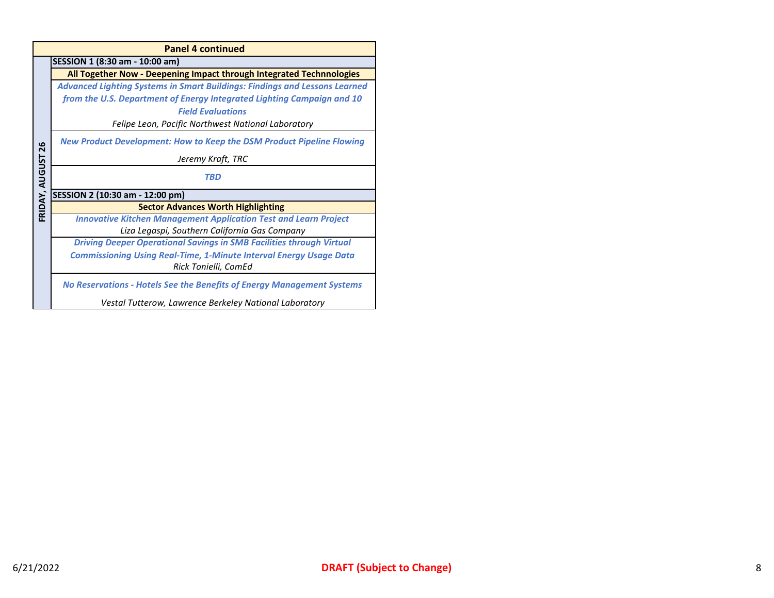|                | <b>Panel 4 continued</b>                                                          |  |  |  |  |
|----------------|-----------------------------------------------------------------------------------|--|--|--|--|
|                | SESSION 1 (8:30 am - 10:00 am)                                                    |  |  |  |  |
|                | All Together Now - Deepening Impact through Integrated Technnologies              |  |  |  |  |
|                | <b>Advanced Lighting Systems in Smart Buildings: Findings and Lessons Learned</b> |  |  |  |  |
|                | from the U.S. Department of Energy Integrated Lighting Campaign and 10            |  |  |  |  |
|                | <b>Field Evaluations</b>                                                          |  |  |  |  |
|                | Felipe Leon, Pacific Northwest National Laboratory                                |  |  |  |  |
| 26             | New Product Development: How to Keep the DSM Product Pipeline Flowing             |  |  |  |  |
|                | Jeremy Kraft, TRC                                                                 |  |  |  |  |
| FRIDAY, AUGUST | <b>TBD</b>                                                                        |  |  |  |  |
|                | SESSION 2 (10:30 am - 12:00 pm)                                                   |  |  |  |  |
|                | <b>Sector Advances Worth Highlighting</b>                                         |  |  |  |  |
|                | <b>Innovative Kitchen Management Application Test and Learn Project</b>           |  |  |  |  |
|                | Liza Legaspi, Southern California Gas Company                                     |  |  |  |  |
|                | <b>Driving Deeper Operational Savings in SMB Facilities through Virtual</b>       |  |  |  |  |
|                | <b>Commissioning Using Real-Time, 1-Minute Interval Energy Usage Data</b>         |  |  |  |  |
|                | Rick Tonielli, ComEd                                                              |  |  |  |  |
|                | <b>No Reservations - Hotels See the Benefits of Energy Management Systems</b>     |  |  |  |  |
|                | Vestal Tutterow, Lawrence Berkeley National Laboratory                            |  |  |  |  |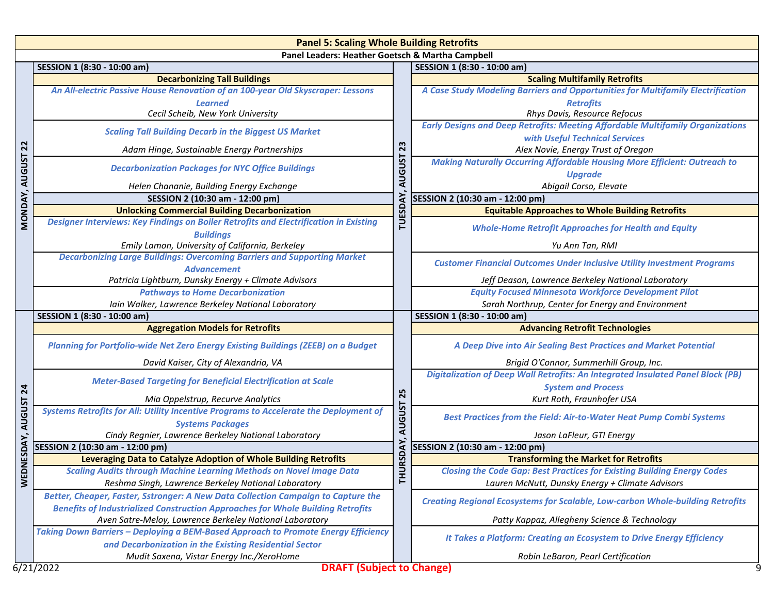|                 | <b>Panel 5: Scaling Whole Building Retrofits</b>                                                          |                                                                                  |                                                                                        |  |  |  |  |
|-----------------|-----------------------------------------------------------------------------------------------------------|----------------------------------------------------------------------------------|----------------------------------------------------------------------------------------|--|--|--|--|
|                 | Panel Leaders: Heather Goetsch & Martha Campbell                                                          |                                                                                  |                                                                                        |  |  |  |  |
|                 | SESSION 1 (8:30 - 10:00 am)                                                                               |                                                                                  | SESSION 1 (8:30 - 10:00 am)                                                            |  |  |  |  |
|                 | <b>Decarbonizing Tall Buildings</b>                                                                       |                                                                                  | <b>Scaling Multifamily Retrofits</b>                                                   |  |  |  |  |
|                 | An All-electric Passive House Renovation of an 100-year Old Skyscraper: Lessons                           |                                                                                  | A Case Study Modeling Barriers and Opportunities for Multifamily Electrification       |  |  |  |  |
|                 | <b>Learned</b>                                                                                            |                                                                                  | <b>Retrofits</b>                                                                       |  |  |  |  |
|                 | Cecil Scheib, New York University                                                                         |                                                                                  | Rhys Davis, Resource Refocus                                                           |  |  |  |  |
|                 | <b>Scaling Tall Building Decarb in the Biggest US Market</b>                                              |                                                                                  | <b>Early Designs and Deep Retrofits: Meeting Affordable Multifamily Organizations</b>  |  |  |  |  |
|                 |                                                                                                           |                                                                                  | with Useful Technical Services                                                         |  |  |  |  |
| $\overline{2}$  | Adam Hinge, Sustainable Energy Partnerships                                                               | 23                                                                               | Alex Novie, Energy Trust of Oregon                                                     |  |  |  |  |
| <b>AUGUST</b>   | <b>AUGUST</b><br><b>Decarbonization Packages for NYC Office Buildings</b>                                 | <b>Making Naturally Occurring Affordable Housing More Efficient: Outreach to</b> |                                                                                        |  |  |  |  |
|                 |                                                                                                           |                                                                                  | <b>Upgrade</b>                                                                         |  |  |  |  |
|                 | Helen Chananie, Building Energy Exchange                                                                  |                                                                                  | Abigail Corso, Elevate                                                                 |  |  |  |  |
|                 | SESSION 2 (10:30 am - 12:00 pm)                                                                           |                                                                                  | SESSION 2 (10:30 am - 12:00 pm)                                                        |  |  |  |  |
|                 | <b>Unlocking Commercial Building Decarbonization</b>                                                      |                                                                                  | <b>Equitable Approaches to Whole Building Retrofits</b>                                |  |  |  |  |
| MONDAY,         | Designer Interviews: Key Findings on Boiler Retrofits and Electrification in Existing<br><b>Buildings</b> | <b>TUESDAY</b>                                                                   | <b>Whole-Home Retrofit Approaches for Health and Equity</b>                            |  |  |  |  |
|                 | Emily Lamon, University of California, Berkeley                                                           |                                                                                  | Yu Ann Tan, RMI                                                                        |  |  |  |  |
|                 | <b>Decarbonizing Large Buildings: Overcoming Barriers and Supporting Market</b><br><b>Advancement</b>     |                                                                                  | <b>Customer Financial Outcomes Under Inclusive Utility Investment Programs</b>         |  |  |  |  |
|                 | Patricia Lightburn, Dunsky Energy + Climate Advisors                                                      |                                                                                  | Jeff Deason, Lawrence Berkeley National Laboratory                                     |  |  |  |  |
|                 | <b>Pathways to Home Decarbonization</b>                                                                   |                                                                                  | <b>Equity Focused Minnesota Workforce Development Pilot</b>                            |  |  |  |  |
|                 | Iain Walker, Lawrence Berkeley National Laboratory                                                        |                                                                                  | Sarah Northrup, Center for Energy and Environment                                      |  |  |  |  |
|                 | SESSION 1 (8:30 - 10:00 am)                                                                               |                                                                                  | SESSION 1 (8:30 - 10:00 am)                                                            |  |  |  |  |
|                 | <b>Aggregation Models for Retrofits</b>                                                                   |                                                                                  | <b>Advancing Retrofit Technologies</b>                                                 |  |  |  |  |
|                 | Planning for Portfolio-wide Net Zero Energy Existing Buildings (ZEEB) on a Budget                         |                                                                                  | A Deep Dive into Air Sealing Best Practices and Market Potential                       |  |  |  |  |
|                 | David Kaiser, City of Alexandria, VA                                                                      |                                                                                  | Brigid O'Connor, Summerhill Group, Inc.                                                |  |  |  |  |
|                 |                                                                                                           |                                                                                  | <b>Digitalization of Deep Wall Retrofits: An Integrated Insulated Panel Block (PB)</b> |  |  |  |  |
| $\overline{24}$ | <b>Meter-Based Targeting for Beneficial Electrification at Scale</b>                                      |                                                                                  | <b>System and Process</b>                                                              |  |  |  |  |
|                 | Mia Oppelstrup, Recurve Analytics                                                                         | 25                                                                               | Kurt Roth, Fraunhofer USA                                                              |  |  |  |  |
| <b>AUGUST</b>   | Systems Retrofits for All: Utility Incentive Programs to Accelerate the Deployment of                     | <b>AUGUST</b>                                                                    |                                                                                        |  |  |  |  |
|                 | <b>Systems Packages</b>                                                                                   |                                                                                  | <b>Best Practices from the Field: Air-to-Water Heat Pump Combi Systems</b>             |  |  |  |  |
|                 | Cindy Regnier, Lawrence Berkeley National Laboratory                                                      |                                                                                  | Jason LaFleur, GTI Energy                                                              |  |  |  |  |
| DNESDAY,        | SESSION 2 (10:30 am - 12:00 pm)                                                                           | URSDAY                                                                           | SESSION 2 (10:30 am - 12:00 pm)                                                        |  |  |  |  |
|                 | Leveraging Data to Catalyze Adoption of Whole Building Retrofits                                          |                                                                                  | <b>Transforming the Market for Retrofits</b>                                           |  |  |  |  |
|                 | <b>Scaling Audits through Machine Learning Methods on Novel Image Data</b>                                |                                                                                  | <b>Closing the Code Gap: Best Practices for Existing Building Energy Codes</b>         |  |  |  |  |
| <b>MEI</b>      | Reshma Singh, Lawrence Berkeley National Laboratory                                                       | 존                                                                                | Lauren McNutt, Dunsky Energy + Climate Advisors                                        |  |  |  |  |
|                 | Better, Cheaper, Faster, Sstronger: A New Data Collection Campaign to Capture the                         |                                                                                  | <b>Creating Regional Ecosystems for Scalable, Low-carbon Whole-building Retrofits</b>  |  |  |  |  |
|                 | <b>Benefits of Industrialized Construction Approaches for Whole Building Retrofits</b>                    |                                                                                  |                                                                                        |  |  |  |  |
|                 | Aven Satre-Meloy, Lawrence Berkeley National Laboratory                                                   |                                                                                  | Patty Kappaz, Allegheny Science & Technology                                           |  |  |  |  |
|                 | Taking Down Barriers - Deploying a BEM-Based Approach to Promote Energy Efficiency                        |                                                                                  | It Takes a Platform: Creating an Ecosystem to Drive Energy Efficiency                  |  |  |  |  |
|                 | and Decarbonization in the Existing Residential Sector                                                    |                                                                                  |                                                                                        |  |  |  |  |
|                 | Mudit Saxena, Vistar Energy Inc./XeroHome                                                                 |                                                                                  | Robin LeBaron, Pearl Certification                                                     |  |  |  |  |
|                 | <b>DRAFT (Subject to Change)</b><br>6/21/2022                                                             |                                                                                  |                                                                                        |  |  |  |  |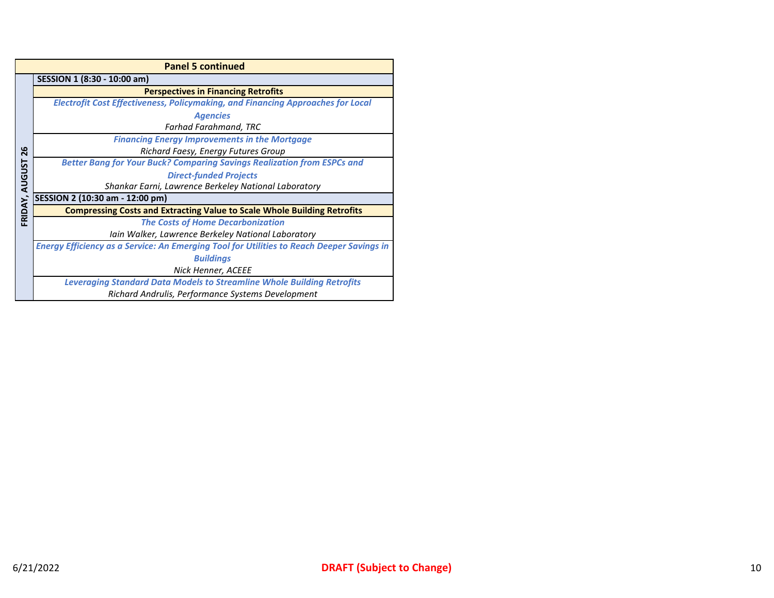|                         | <b>Panel 5 continued</b>                                                                         |  |  |  |  |
|-------------------------|--------------------------------------------------------------------------------------------------|--|--|--|--|
|                         | SESSION 1 (8:30 - 10:00 am)                                                                      |  |  |  |  |
|                         | <b>Perspectives in Financing Retrofits</b>                                                       |  |  |  |  |
|                         | <b>Electrofit Cost Effectiveness, Policymaking, and Financing Approaches for Local</b>           |  |  |  |  |
|                         | <b>Agencies</b>                                                                                  |  |  |  |  |
|                         | <b>Farhad Farahmand, TRC</b>                                                                     |  |  |  |  |
|                         | <b>Financing Energy Improvements in the Mortgage</b>                                             |  |  |  |  |
| ဖ<br>$\bar{\mathbf{N}}$ | Richard Faesy, Energy Futures Group                                                              |  |  |  |  |
|                         | <b>Better Bang for Your Buck? Comparing Savings Realization from ESPCs and</b>                   |  |  |  |  |
|                         | <b>Direct-funded Projects</b>                                                                    |  |  |  |  |
| <b>AUGUST</b>           | Shankar Earni, Lawrence Berkeley National Laboratory                                             |  |  |  |  |
|                         | SESSION 2 (10:30 am - 12:00 pm)                                                                  |  |  |  |  |
| FRIDAY,                 | <b>Compressing Costs and Extracting Value to Scale Whole Building Retrofits</b>                  |  |  |  |  |
|                         | <b>The Costs of Home Decarbonization</b>                                                         |  |  |  |  |
|                         | lain Walker, Lawrence Berkeley National Laboratory                                               |  |  |  |  |
|                         | <b>Energy Efficiency as a Service: An Emerging Tool for Utilities to Reach Deeper Savings in</b> |  |  |  |  |
|                         | <b>Buildings</b>                                                                                 |  |  |  |  |
|                         | Nick Henner, ACEEE                                                                               |  |  |  |  |
|                         | <b>Leveraging Standard Data Models to Streamline Whole Building Retrofits</b>                    |  |  |  |  |
|                         | Richard Andrulis, Performance Systems Development                                                |  |  |  |  |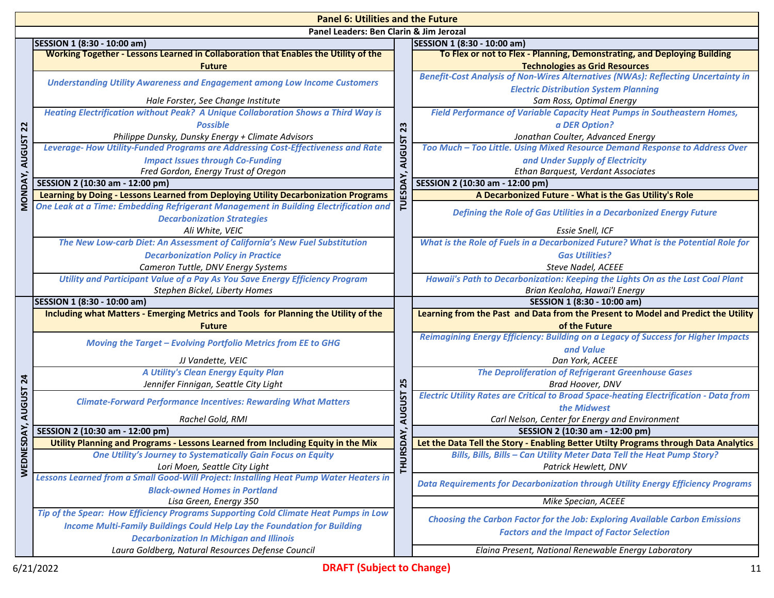|                                         | <b>Panel 6: Utilities and the Future</b>                                                                                  |                                              |                                                                                               |  |  |
|-----------------------------------------|---------------------------------------------------------------------------------------------------------------------------|----------------------------------------------|-----------------------------------------------------------------------------------------------|--|--|
| Panel Leaders: Ben Clarin & Jim Jerozal |                                                                                                                           |                                              |                                                                                               |  |  |
|                                         | SESSION 1 (8:30 - 10:00 am)                                                                                               |                                              | SESSION 1 (8:30 - 10:00 am)                                                                   |  |  |
|                                         | Working Together - Lessons Learned in Collaboration that Enables the Utility of the                                       |                                              | To Flex or not to Flex - Planning, Demonstrating, and Deploying Building                      |  |  |
|                                         | <b>Future</b>                                                                                                             |                                              | <b>Technologies as Grid Resources</b>                                                         |  |  |
|                                         | <b>Understanding Utility Awareness and Engagement among Low Income Customers</b>                                          |                                              | Benefit-Cost Analysis of Non-Wires Alternatives (NWAs): Reflecting Uncertainty in             |  |  |
|                                         |                                                                                                                           | <b>Electric Distribution System Planning</b> |                                                                                               |  |  |
|                                         | Hale Forster, See Change Institute                                                                                        |                                              | Sam Ross, Optimal Energy                                                                      |  |  |
|                                         | Heating Electrification without Peak? A Unique Collaboration Shows a Third Way is                                         |                                              | Field Performance of Variable Capacity Heat Pumps in Southeastern Homes,                      |  |  |
| $\overline{2}$                          | <b>Possible</b>                                                                                                           | 23                                           | a DER Option?                                                                                 |  |  |
|                                         | Philippe Dunsky, Dunsky Energy + Climate Advisors                                                                         |                                              | Jonathan Coulter, Advanced Energy                                                             |  |  |
|                                         | Leverage-How Utility-Funded Programs are Addressing Cost-Effectiveness and Rate                                           | <b>AUGUST</b>                                | Too Much - Too Little. Using Mixed Resource Demand Response to Address Over                   |  |  |
|                                         | <b>Impact Issues through Co-Funding</b>                                                                                   |                                              | and Under Supply of Electricity                                                               |  |  |
|                                         | Fred Gordon, Energy Trust of Oregon                                                                                       |                                              | Ethan Barquest, Verdant Associates                                                            |  |  |
|                                         | SESSION 2 (10:30 am - 12:00 pm)                                                                                           |                                              | SESSION 2 (10:30 am - 12:00 pm)                                                               |  |  |
| MONDAY, AUGUST                          | Learning by Doing - Lessons Learned from Deploying Utility Decarbonization Programs                                       | TUESI                                        | A Decarbonized Future - What is the Gas Utility's Role                                        |  |  |
|                                         | One Leak at a Time: Embedding Refrigerant Management in Building Electrification and<br><b>Decarbonization Strategies</b> |                                              | Defining the Role of Gas Utilities in a Decarbonized Energy Future                            |  |  |
|                                         | Ali White, VEIC                                                                                                           |                                              | Essie Snell, ICF                                                                              |  |  |
|                                         | The New Low-carb Diet: An Assessment of California's New Fuel Substitution                                                |                                              | What is the Role of Fuels in a Decarbonized Future? What is the Potential Role for            |  |  |
|                                         | <b>Decarbonization Policy in Practice</b>                                                                                 |                                              | <b>Gas Utilities?</b>                                                                         |  |  |
|                                         | Cameron Tuttle, DNV Energy Systems                                                                                        |                                              | Steve Nadel, ACEEE                                                                            |  |  |
|                                         | Utility and Participant Value of a Pay As You Save Energy Efficiency Program                                              |                                              | Hawaii's Path to Decarbonization: Keeping the Lights On as the Last Coal Plant                |  |  |
|                                         | Stephen Bickel, Liberty Homes                                                                                             |                                              | Brian Kealoha, Hawai'l Energy                                                                 |  |  |
|                                         | SESSION 1 (8:30 - 10:00 am)                                                                                               |                                              | SESSION 1 (8:30 - 10:00 am)                                                                   |  |  |
|                                         | Including what Matters - Emerging Metrics and Tools for Planning the Utility of the                                       |                                              | Learning from the Past and Data from the Present to Model and Predict the Utility             |  |  |
|                                         | <b>Future</b>                                                                                                             |                                              | of the Future                                                                                 |  |  |
|                                         | <b>Moving the Target - Evolving Portfolio Metrics from EE to GHG</b>                                                      |                                              | Reimagining Energy Efficiency: Building on a Legacy of Success for Higher Impacts             |  |  |
|                                         | JJ Vandette, VEIC                                                                                                         |                                              | and Value<br>Dan York, ACEEE                                                                  |  |  |
|                                         | A Utility's Clean Energy Equity Plan                                                                                      |                                              | <b>The Deproliferation of Refrigerant Greenhouse Gases</b>                                    |  |  |
| $\overline{24}$                         | Jennifer Finnigan, Seattle City Light                                                                                     | 25                                           | Brad Hoover, DNV                                                                              |  |  |
| <b>AUGUST</b>                           |                                                                                                                           |                                              | <b>Electric Utility Rates are Critical to Broad Space-heating Electrification - Data from</b> |  |  |
|                                         | <b>Climate-Forward Performance Incentives: Rewarding What Matters</b>                                                     |                                              | the Midwest                                                                                   |  |  |
|                                         | Rachel Gold, RMI                                                                                                          | <b>AUGUST</b>                                | Carl Nelson, Center for Energy and Environment                                                |  |  |
| ESDAY,                                  | SESSION 2 (10:30 am - 12:00 pm)                                                                                           |                                              | SESSION 2 (10:30 am - 12:00 pm)                                                               |  |  |
|                                         |                                                                                                                           | SDAY,                                        | Let the Data Tell the Story - Enabling Better Utilty Programs through Data Analytics          |  |  |
|                                         | Utility Planning and Programs - Lessons Learned from Including Equity in the Mix                                          |                                              |                                                                                               |  |  |
|                                         | <b>One Utility's Journey to Systematically Gain Focus on Equity</b>                                                       |                                              | Bills, Bills, Bills – Can Utility Meter Data Tell the Heat Pump Story?                        |  |  |
|                                         | Lori Moen, Seattle City Light                                                                                             |                                              | Patrick Hewlett, DNV                                                                          |  |  |
| <b>WEDNI</b>                            | Lessons Learned from a Small Good-Will Project: Installing Heat Pump Water Heaters in                                     | <b>THUR</b>                                  |                                                                                               |  |  |
|                                         | <b>Black-owned Homes in Portland</b>                                                                                      |                                              | Data Requirements for Decarbonization through Utility Energy Efficiency Programs              |  |  |
|                                         | Lisa Green, Energy 350                                                                                                    |                                              | Mike Specian, ACEEE                                                                           |  |  |
|                                         | Tip of the Spear: How Efficiency Programs Supporting Cold Climate Heat Pumps in Low                                       |                                              | <b>Choosing the Carbon Factor for the Job: Exploring Available Carbon Emissions</b>           |  |  |
|                                         | <b>Income Multi-Family Buildings Could Help Lay the Foundation for Building</b>                                           |                                              | <b>Factors and the Impact of Factor Selection</b>                                             |  |  |
|                                         | <b>Decarbonization In Michigan and Illinois</b><br>Laura Goldberg, Natural Resources Defense Council                      |                                              | Elaina Present, National Renewable Energy Laboratory                                          |  |  |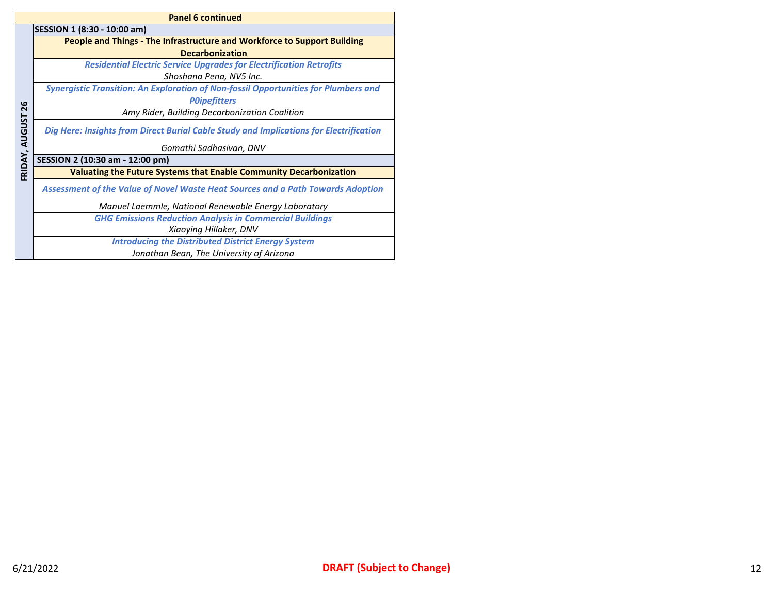|               | <b>Panel 6 continued</b>                                                                   |  |  |  |
|---------------|--------------------------------------------------------------------------------------------|--|--|--|
|               | SESSION 1 (8:30 - 10:00 am)                                                                |  |  |  |
|               | People and Things - The Infrastructure and Workforce to Support Building                   |  |  |  |
|               | <b>Decarbonization</b>                                                                     |  |  |  |
|               | <b>Residential Electric Service Upgrades for Electrification Retrofits</b>                 |  |  |  |
|               | Shoshana Pena, NV5 Inc.                                                                    |  |  |  |
|               | <b>Synergistic Transition: An Exploration of Non-fossil Opportunities for Plumbers and</b> |  |  |  |
| 26            | <b>POipefitters</b>                                                                        |  |  |  |
|               | Amy Rider, Building Decarbonization Coalition                                              |  |  |  |
| <b>AUGUST</b> | Dig Here: Insights from Direct Burial Cable Study and Implications for Electrification     |  |  |  |
|               | Gomathi Sadhasivan, DNV                                                                    |  |  |  |
| FRIDAY,       | SESSION 2 (10:30 am - 12:00 pm)                                                            |  |  |  |
|               | Valuating the Future Systems that Enable Community Decarbonization                         |  |  |  |
|               | <b>Assessment of the Value of Novel Waste Heat Sources and a Path Towards Adoption</b>     |  |  |  |
|               | Manuel Laemmle, National Renewable Energy Laboratory                                       |  |  |  |
|               | <b>GHG Emissions Reduction Analysis in Commercial Buildings</b>                            |  |  |  |
|               | Xiaoying Hillaker, DNV                                                                     |  |  |  |
|               | <b>Introducing the Distributed District Energy System</b>                                  |  |  |  |
|               | Jonathan Bean, The University of Arizona                                                   |  |  |  |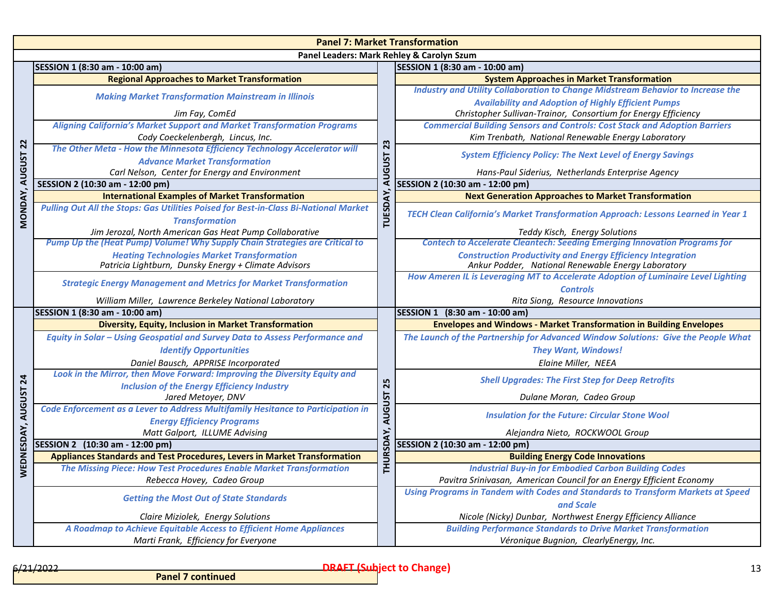|                  | <b>Panel 7: Market Transformation</b>                                                                                                  |                         |                                                                                                                   |  |  |  |
|------------------|----------------------------------------------------------------------------------------------------------------------------------------|-------------------------|-------------------------------------------------------------------------------------------------------------------|--|--|--|
|                  | Panel Leaders: Mark Rehley & Carolyn Szum                                                                                              |                         |                                                                                                                   |  |  |  |
|                  | SESSION 1 (8:30 am - 10:00 am)                                                                                                         |                         | SESSION 1 (8:30 am - 10:00 am)                                                                                    |  |  |  |
|                  | <b>Regional Approaches to Market Transformation</b>                                                                                    |                         | <b>System Approaches in Market Transformation</b>                                                                 |  |  |  |
|                  | <b>Making Market Transformation Mainstream in Illinois</b>                                                                             |                         | <b>Industry and Utility Collaboration to Change Midstream Behavior to Increase the</b>                            |  |  |  |
|                  |                                                                                                                                        |                         | <b>Availability and Adoption of Highly Efficient Pumps</b>                                                        |  |  |  |
|                  | Jim Fay, ComEd                                                                                                                         |                         | Christopher Sullivan-Trainor, Consortium for Energy Efficiency                                                    |  |  |  |
|                  | <b>Aligning California's Market Support and Market Transformation Programs</b>                                                         |                         | <b>Commercial Building Sensors and Controls: Cost Stack and Adoption Barriers</b>                                 |  |  |  |
|                  | Cody Coeckelenbergh, Lincus, Inc.                                                                                                      | 23                      | Kim Trenbath, National Renewable Energy Laboratory                                                                |  |  |  |
|                  | The Other Meta - How the Minnesota Efficiency Technology Accelerator will                                                              |                         | <b>System Efficiency Policy: The Next Level of Energy Savings</b>                                                 |  |  |  |
| <b>AUGUST 22</b> | <b>Advance Market Transformation</b>                                                                                                   | <b>LSN<sub>9</sub>n</b> |                                                                                                                   |  |  |  |
|                  | Carl Nelson, Center for Energy and Environment                                                                                         |                         | Hans-Paul Siderius, Netherlands Enterprise Agency                                                                 |  |  |  |
|                  | SESSION 2 (10:30 am - 12:00 pm)                                                                                                        |                         | SESSION 2 (10:30 am - 12:00 pm)                                                                                   |  |  |  |
|                  | <b>International Examples of Market Transformation</b>                                                                                 |                         | <b>Next Generation Approaches to Market Transformation</b>                                                        |  |  |  |
| <b>MONDAY</b>    | Pulling Out All the Stops: Gas Utilities Poised for Best-in-Class Bi-National Market                                                   | <b>TUESDAY</b>          | TECH Clean California's Market Transformation Approach: Lessons Learned in Year 1                                 |  |  |  |
|                  | <b>Transformation</b>                                                                                                                  |                         |                                                                                                                   |  |  |  |
|                  | Jim Jerozal, North American Gas Heat Pump Collaborative<br>Pump Up the (Heat Pump) Volume! Why Supply Chain Strategies are Critical to |                         | Teddy Kisch, Energy Solutions<br><b>Contech to Accelerate Cleantech: Seeding Emerging Innovation Programs for</b> |  |  |  |
|                  | <b>Heating Technologies Market Transformation</b>                                                                                      |                         | <b>Construction Productivity and Energy Efficiency Integration</b>                                                |  |  |  |
|                  | Patricia Lightburn, Dunsky Energy + Climate Advisors                                                                                   |                         | Ankur Podder, National Renewable Energy Laboratory                                                                |  |  |  |
|                  |                                                                                                                                        |                         | How Ameren IL is Leveraging MT to Accelerate Adoption of Luminaire Level Lighting                                 |  |  |  |
|                  | <b>Strategic Energy Management and Metrics for Market Transformation</b>                                                               |                         | <b>Controls</b>                                                                                                   |  |  |  |
|                  | William Miller, Lawrence Berkeley National Laboratory                                                                                  |                         | Rita Siong, Resource Innovations                                                                                  |  |  |  |
|                  | SESSION 1 (8:30 am - 10:00 am)                                                                                                         |                         | SESSION 1 (8:30 am - 10:00 am)                                                                                    |  |  |  |
|                  | <b>Diversity, Equity, Inclusion in Market Transformation</b>                                                                           |                         | <b>Envelopes and Windows - Market Transformation in Building Envelopes</b>                                        |  |  |  |
|                  | Equity in Solar - Using Geospatial and Survey Data to Assess Performance and                                                           |                         | The Launch of the Partnership for Advanced Window Solutions: Give the People What                                 |  |  |  |
|                  | <b>Identify Opportunities</b>                                                                                                          |                         | <b>They Want, Windows!</b>                                                                                        |  |  |  |
|                  | Daniel Bausch, APPRISE Incorporated                                                                                                    |                         | Elaine Miller, NEEA                                                                                               |  |  |  |
| $\overline{2}$ 4 | Look in the Mirror, then Move Forward: Improving the Diversity Equity and                                                              |                         |                                                                                                                   |  |  |  |
|                  | <b>Inclusion of the Energy Efficiency Industry</b>                                                                                     | 25                      | <b>Shell Upgrades: The First Step for Deep Retrofits</b>                                                          |  |  |  |
|                  | Jared Metoyer, DNV                                                                                                                     | <b>AUGUST</b>           | Dulane Moran, Cadeo Group                                                                                         |  |  |  |
| <b>AUGUST</b>    | Code Enforcement as a Lever to Address Multifamily Hesitance to Participation in                                                       |                         | <b>Insulation for the Future: Circular Stone Wool</b>                                                             |  |  |  |
|                  | <b>Energy Efficiency Programs</b>                                                                                                      |                         |                                                                                                                   |  |  |  |
| EDNESDAY,        | Matt Galport, ILLUME Advising                                                                                                          | HURSDAY,                | Alejandra Nieto, ROCKWOOL Group                                                                                   |  |  |  |
|                  | SESSION 2 (10:30 am - 12:00 pm)                                                                                                        |                         | SESSION 2 (10:30 am - 12:00 pm)                                                                                   |  |  |  |
|                  | Appliances Standards and Test Procedures, Levers in Market Transformation                                                              |                         | <b>Building Energy Code Innovations</b>                                                                           |  |  |  |
| ⋧                | The Missing Piece: How Test Procedures Enable Market Transformation                                                                    |                         | <b>Industrial Buy-in for Embodied Carbon Building Codes</b>                                                       |  |  |  |
|                  | Rebecca Hovey, Cadeo Group                                                                                                             |                         | Pavitra Srinivasan, American Council for an Energy Efficient Economy                                              |  |  |  |
|                  | <b>Getting the Most Out of State Standards</b>                                                                                         |                         | Using Programs in Tandem with Codes and Standards to Transform Markets at Speed                                   |  |  |  |
|                  |                                                                                                                                        |                         | and Scale                                                                                                         |  |  |  |
|                  | Claire Miziolek, Energy Solutions                                                                                                      |                         | Nicole (Nicky) Dunbar, Northwest Energy Efficiency Alliance                                                       |  |  |  |
|                  | A Roadmap to Achieve Equitable Access to Efficient Home Appliances<br>Marti Frank, Efficiency for Everyone                             |                         | <b>Building Performance Standards to Drive Market Transformation</b>                                              |  |  |  |
|                  |                                                                                                                                        |                         | Véronique Bugnion, ClearlyEnergy, Inc.                                                                            |  |  |  |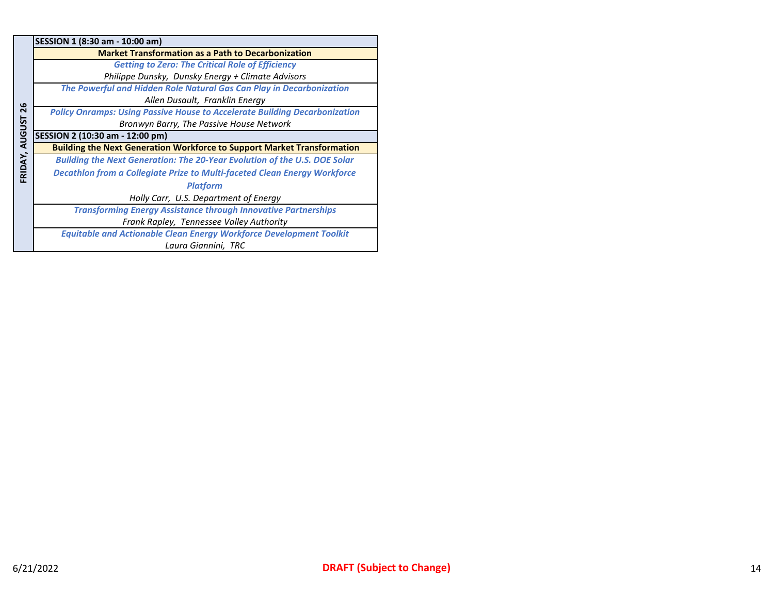|               | SESSION 1 (8:30 am - 10:00 am)                                                    |
|---------------|-----------------------------------------------------------------------------------|
|               | <b>Market Transformation as a Path to Decarbonization</b>                         |
|               | <b>Getting to Zero: The Critical Role of Efficiency</b>                           |
|               | Philippe Dunsky, Dunsky Energy + Climate Advisors                                 |
|               | The Powerful and Hidden Role Natural Gas Can Play in Decarbonization              |
|               | Allen Dusault, Franklin Energy                                                    |
| 26            | <b>Policy Onramps: Using Passive House to Accelerate Building Decarbonization</b> |
|               | Bronwyn Barry, The Passive House Network                                          |
| <b>AUGUST</b> | SESSION 2 (10:30 am - 12:00 pm)                                                   |
|               | <b>Building the Next Generation Workforce to Support Market Transformation</b>    |
|               |                                                                                   |
|               | <b>Building the Next Generation: The 20-Year Evolution of the U.S. DOE Solar</b>  |
|               | Decathlon from a Collegiate Prize to Multi-faceted Clean Energy Workforce         |
| FRIDAY,       | <b>Platform</b>                                                                   |
|               | Holly Carr, U.S. Department of Energy                                             |
|               | <b>Transforming Energy Assistance through Innovative Partnerships</b>             |
|               | Frank Rapley, Tennessee Valley Authority                                          |
|               | <b>Equitable and Actionable Clean Energy Workforce Development Toolkit</b>        |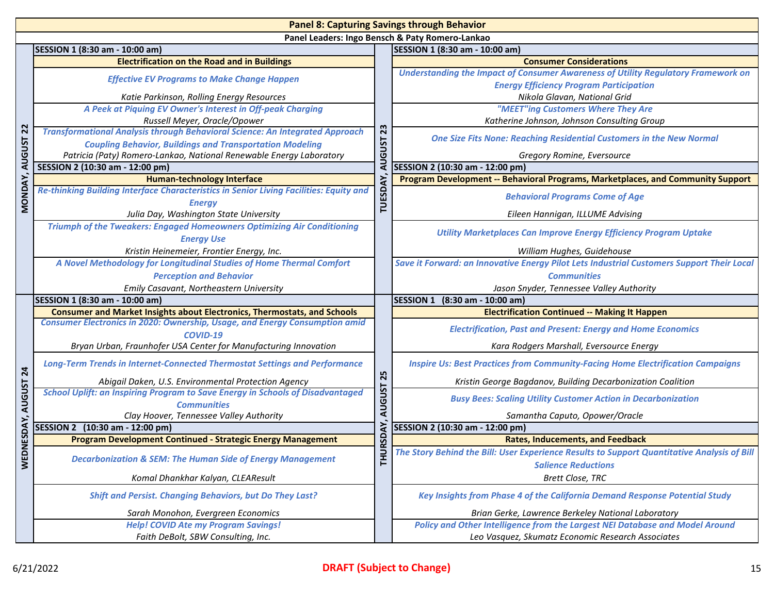|                | <b>Panel 8: Capturing Savings through Behavior</b>                                                          |                |                                                                                                                           |  |  |
|----------------|-------------------------------------------------------------------------------------------------------------|----------------|---------------------------------------------------------------------------------------------------------------------------|--|--|
|                |                                                                                                             |                | Panel Leaders: Ingo Bensch & Paty Romero-Lankao                                                                           |  |  |
|                | SESSION 1 (8:30 am - 10:00 am)                                                                              |                | SESSION 1 (8:30 am - 10:00 am)                                                                                            |  |  |
|                | <b>Electrification on the Road and in Buildings</b>                                                         |                | <b>Consumer Considerations</b>                                                                                            |  |  |
|                | <b>Effective EV Programs to Make Change Happen</b>                                                          |                | Understanding the Impact of Consumer Awareness of Utility Regulatory Framework on                                         |  |  |
|                | Katie Parkinson, Rolling Energy Resources                                                                   |                | <b>Energy Efficiency Program Participation</b><br>Nikola Glavan, National Grid                                            |  |  |
|                | A Peek at Piquing EV Owner's Interest in Off-peak Charging                                                  |                | "MEET"ing Customers Where They Are                                                                                        |  |  |
|                | Russell Meyer, Oracle/Opower                                                                                |                | Katherine Johnson, Johnson Consulting Group                                                                               |  |  |
| 22             | <b>Transformational Analysis through Behavioral Science: An Integrated Approach</b>                         | 23             |                                                                                                                           |  |  |
| <b>AUGUST</b>  | <b>Coupling Behavior, Buildings and Transportation Modeling</b>                                             |                | <b>One Size Fits None: Reaching Residential Customers in the New Normal</b>                                               |  |  |
|                | Patricia (Paty) Romero-Lankao, National Renewable Energy Laboratory                                         | <b>AUGUST</b>  | Gregory Romine, Eversource                                                                                                |  |  |
|                | SESSION 2 (10:30 am - 12:00 pm)                                                                             |                | SESSION 2 (10:30 am - 12:00 pm)                                                                                           |  |  |
|                | <b>Human-technology Interface</b>                                                                           |                | Program Development -- Behavioral Programs, Marketplaces, and Community Support                                           |  |  |
| MONDAY,        | Re-thinking Building Interface Characteristics in Senior Living Facilities: Equity and<br><b>Energy</b>     | <b>TUESDAY</b> | <b>Behavioral Programs Come of Age</b>                                                                                    |  |  |
|                | Julia Day, Washington State University                                                                      |                | Eileen Hannigan, ILLUME Advising                                                                                          |  |  |
|                | <b>Triumph of the Tweakers: Engaged Homeowners Optimizing Air Conditioning</b><br><b>Energy Use</b>         |                | <b>Utility Marketplaces Can Improve Energy Efficiency Program Uptake</b>                                                  |  |  |
|                | Kristin Heinemeier, Frontier Energy, Inc.                                                                   |                | William Hughes, Guidehouse                                                                                                |  |  |
|                | A Novel Methodology for Longitudinal Studies of Home Thermal Comfort                                        |                | Save it Forward: an Innovative Energy Pilot Lets Industrial Customers Support Their Local                                 |  |  |
|                | <b>Perception and Behavior</b>                                                                              |                | <b>Communities</b>                                                                                                        |  |  |
|                | Emily Casavant, Northeastern University                                                                     |                | Jason Snyder, Tennessee Valley Authority                                                                                  |  |  |
|                | SESSION 1 (8:30 am - 10:00 am)                                                                              |                | SESSION 1 (8:30 am - 10:00 am)                                                                                            |  |  |
|                | <b>Consumer and Market Insights about Electronics, Thermostats, and Schools</b>                             |                | <b>Electrification Continued -- Making It Happen</b>                                                                      |  |  |
|                | <b>Consumer Electronics in 2020: Ownership, Usage, and Energy Consumption amid</b><br>COVID-19              |                | <b>Electrification, Past and Present: Energy and Home Economics</b>                                                       |  |  |
|                | Bryan Urban, Fraunhofer USA Center for Manufacturing Innovation                                             |                | Kara Rodgers Marshall, Eversource Energy                                                                                  |  |  |
| 24             | <b>Long-Term Trends in Internet-Connected Thermostat Settings and Performance</b>                           |                | <b>Inspire Us: Best Practices from Community-Facing Home Electrification Campaigns</b>                                    |  |  |
|                | Abigail Daken, U.S. Environmental Protection Agency                                                         | 25             | Kristin George Bagdanov, Building Decarbonization Coalition                                                               |  |  |
| NESDAY, AUGUST | <b>School Uplift: an Inspiring Program to Save Energy in Schools of Disadvantaged</b><br><b>Communities</b> | <b>AUGUST</b>  | <b>Busy Bees: Scaling Utility Customer Action in Decarbonization</b>                                                      |  |  |
|                | Clay Hoover, Tennessee Valley Authority                                                                     |                | Samantha Caputo, Opower/Oracle                                                                                            |  |  |
|                | SESSION 2 (10:30 am - 12:00 pm)                                                                             | <b>JRSDAY,</b> | SESSION 2 (10:30 am - 12:00 pm)                                                                                           |  |  |
|                | <b>Program Development Continued - Strategic Energy Management</b>                                          |                | <b>Rates, Inducements, and Feedback</b>                                                                                   |  |  |
| <b>WED</b>     | <b>Decarbonization &amp; SEM: The Human Side of Energy Management</b>                                       | 로              | The Story Behind the Bill: User Experience Results to Support Quantitative Analysis of Bill<br><b>Salience Reductions</b> |  |  |
|                | Komal Dhankhar Kalyan, CLEAResult                                                                           |                | <b>Brett Close, TRC</b>                                                                                                   |  |  |
|                | <b>Shift and Persist. Changing Behaviors, but Do They Last?</b>                                             |                | Key Insights from Phase 4 of the California Demand Response Potential Study                                               |  |  |
|                | Sarah Monohon, Evergreen Economics                                                                          |                | Brian Gerke, Lawrence Berkeley National Laboratory                                                                        |  |  |
|                | <b>Help! COVID Ate my Program Savings!</b>                                                                  |                | Policy and Other Intelligence from the Largest NEI Database and Model Around                                              |  |  |
|                | Faith DeBolt, SBW Consulting, Inc.                                                                          |                | Leo Vasquez, Skumatz Economic Research Associates                                                                         |  |  |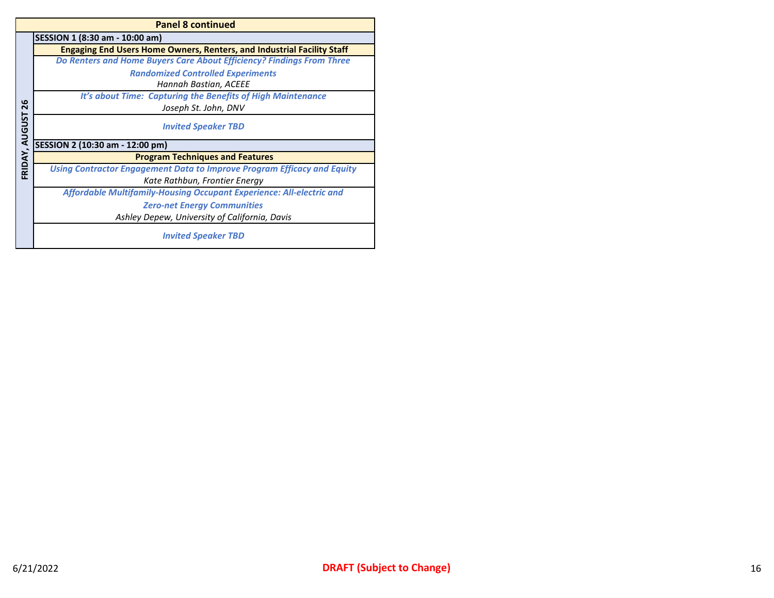|                | <b>Panel 8 continued</b>                                                      |  |  |  |
|----------------|-------------------------------------------------------------------------------|--|--|--|
|                | SESSION 1 (8:30 am - 10:00 am)                                                |  |  |  |
|                | <b>Engaging End Users Home Owners, Renters, and Industrial Facility Staff</b> |  |  |  |
|                | Do Renters and Home Buyers Care About Efficiency? Findings From Three         |  |  |  |
|                | <b>Randomized Controlled Experiments</b>                                      |  |  |  |
|                | Hannah Bastian, ACEEE                                                         |  |  |  |
|                | It's about Time: Capturing the Benefits of High Maintenance                   |  |  |  |
| 26             | Joseph St. John, DNV                                                          |  |  |  |
| FRIDAY, AUGUST | <b>Invited Speaker TBD</b>                                                    |  |  |  |
|                | SESSION 2 (10:30 am - 12:00 pm)                                               |  |  |  |
|                | <b>Program Techniques and Features</b>                                        |  |  |  |
|                | Using Contractor Engagement Data to Improve Program Efficacy and Equity       |  |  |  |
|                | Kate Rathbun, Frontier Energy                                                 |  |  |  |
|                | <b>Affordable Multifamily-Housing Occupant Experience: All-electric and</b>   |  |  |  |
|                | <b>Zero-net Energy Communities</b>                                            |  |  |  |
|                | Ashley Depew, University of California, Davis                                 |  |  |  |
|                | <b>Invited Speaker TBD</b>                                                    |  |  |  |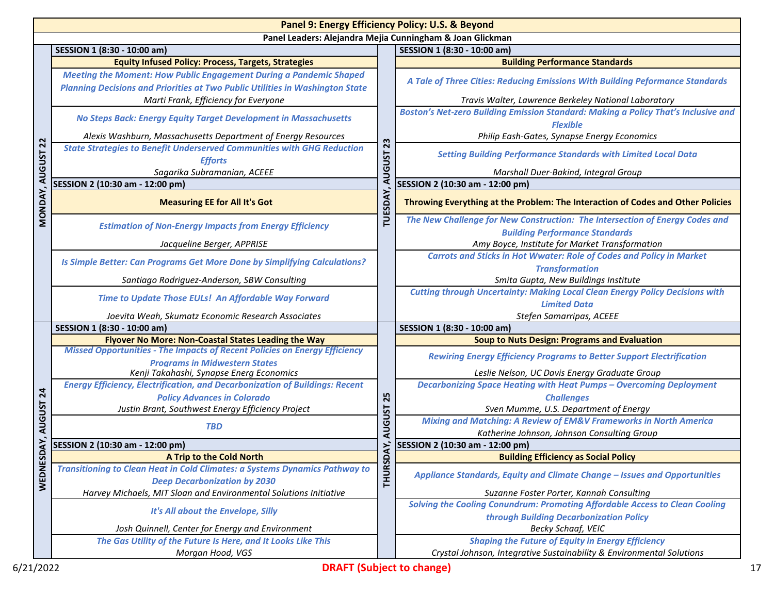|                | Panel 9: Energy Efficiency Policy: U.S. & Beyond                                                                                                                  |                                                                                     |                                                                                                       |  |  |  |
|----------------|-------------------------------------------------------------------------------------------------------------------------------------------------------------------|-------------------------------------------------------------------------------------|-------------------------------------------------------------------------------------------------------|--|--|--|
|                | Panel Leaders: Alejandra Mejia Cunningham & Joan Glickman                                                                                                         |                                                                                     |                                                                                                       |  |  |  |
|                | SESSION 1 (8:30 - 10:00 am)                                                                                                                                       |                                                                                     | SESSION 1 (8:30 - 10:00 am)                                                                           |  |  |  |
|                | <b>Equity Infused Policy: Process, Targets, Strategies</b>                                                                                                        | 23                                                                                  | <b>Building Performance Standards</b>                                                                 |  |  |  |
|                | <b>Meeting the Moment: How Public Engagement During a Pandemic Shaped</b><br><b>Planning Decisions and Priorities at Two Public Utilities in Washington State</b> |                                                                                     | A Tale of Three Cities: Reducing Emissions With Building Peformance Standards                         |  |  |  |
|                | Marti Frank, Efficiency for Everyone                                                                                                                              |                                                                                     | Travis Walter, Lawrence Berkeley National Laboratory                                                  |  |  |  |
|                | No Steps Back: Energy Equity Target Development in Massachusetts                                                                                                  |                                                                                     | Boston's Net-zero Building Emission Standard: Making a Policy That's Inclusive and<br><b>Flexible</b> |  |  |  |
| $\overline{2}$ | Alexis Washburn, Massachusetts Department of Energy Resources                                                                                                     |                                                                                     | Philip Eash-Gates, Synapse Energy Economics                                                           |  |  |  |
|                | <b>State Strategies to Benefit Underserved Communities with GHG Reduction</b>                                                                                     |                                                                                     | <b>Setting Building Performance Standards with Limited Local Data</b>                                 |  |  |  |
|                | <b>Efforts</b>                                                                                                                                                    |                                                                                     |                                                                                                       |  |  |  |
|                | Sagarika Subramanian, ACEEE                                                                                                                                       | <b>AUGUST</b>                                                                       | Marshall Duer-Bakind, Integral Group                                                                  |  |  |  |
|                | SESSION 2 (10:30 am - 12:00 pm)                                                                                                                                   |                                                                                     | SESSION 2 (10:30 am - 12:00 pm)                                                                       |  |  |  |
| MONDAY, AUGUST | <b>Measuring EE for All It's Got</b>                                                                                                                              | TUESDAY,                                                                            | Throwing Everything at the Problem: The Interaction of Codes and Other Policies                       |  |  |  |
|                | <b>Estimation of Non-Energy Impacts from Energy Efficiency</b>                                                                                                    |                                                                                     | The New Challenge for New Construction: The Intersection of Energy Codes and                          |  |  |  |
|                |                                                                                                                                                                   |                                                                                     | <b>Building Performance Standards</b>                                                                 |  |  |  |
|                | Jacqueline Berger, APPRISE                                                                                                                                        |                                                                                     | Amy Boyce, Institute for Market Transformation                                                        |  |  |  |
|                | Is Simple Better: Can Programs Get More Done by Simplifying Calculations?                                                                                         |                                                                                     | <b>Carrots and Sticks in Hot Wwater: Role of Codes and Policy in Market</b>                           |  |  |  |
|                |                                                                                                                                                                   |                                                                                     | <b>Transformation</b>                                                                                 |  |  |  |
|                | Santiago Rodriguez-Anderson, SBW Consulting                                                                                                                       |                                                                                     | Smita Gupta, New Buildings Institute                                                                  |  |  |  |
|                | Time to Update Those EULs! An Affordable Way Forward                                                                                                              | <b>Cutting through Uncertainty: Making Local Clean Energy Policy Decisions with</b> |                                                                                                       |  |  |  |
|                |                                                                                                                                                                   |                                                                                     | <b>Limited Data</b><br>Stefen Samarripas, ACEEE                                                       |  |  |  |
|                | Joevita Weah, Skumatz Economic Research Associates<br>SESSION 1 (8:30 - 10:00 am)                                                                                 |                                                                                     | SESSION 1 (8:30 - 10:00 am)                                                                           |  |  |  |
|                | Flyover No More: Non-Coastal States Leading the Way                                                                                                               |                                                                                     | <b>Soup to Nuts Design: Programs and Evaluation</b>                                                   |  |  |  |
|                | <b>Missed Opportunities - The Impacts of Recent Policies on Energy Efficiency</b>                                                                                 |                                                                                     | <b>Rewiring Energy Efficiency Programs to Better Support Electrification</b>                          |  |  |  |
|                | <b>Programs in Midwestern States</b><br>Kenji Takahashi, Synapse Energ Economics                                                                                  |                                                                                     | Leslie Nelson, UC Davis Energy Graduate Group                                                         |  |  |  |
|                | <b>Energy Efficiency, Electrification, and Decarbonization of Buildings: Recent</b>                                                                               |                                                                                     | <b>Decarbonizing Space Heating with Heat Pumps - Overcoming Deployment</b>                            |  |  |  |
| 24             | <b>Policy Advances in Colorado</b>                                                                                                                                | 25                                                                                  | <b>Challenges</b>                                                                                     |  |  |  |
|                | Justin Brant, Southwest Energy Efficiency Project                                                                                                                 |                                                                                     | Sven Mumme, U.S. Department of Energy                                                                 |  |  |  |
| <b>AUGUST</b>  | <b>TBD</b>                                                                                                                                                        | <b>AUGUST</b>                                                                       | <b>Mixing and Matching: A Review of EM&amp;V Frameworks in North America</b>                          |  |  |  |
|                |                                                                                                                                                                   |                                                                                     | Katherine Johnson, Johnson Consulting Group                                                           |  |  |  |
| DAY,           | SESSION 2 (10:30 am - 12:00 pm)                                                                                                                                   | टूं                                                                                 | SESSION 2 (10:30 am - 12:00 pm)                                                                       |  |  |  |
|                | A Trip to the Cold North                                                                                                                                          |                                                                                     | <b>Building Efficiency as Social Policy</b>                                                           |  |  |  |
| <b>WEDNES</b>  | Transitioning to Clean Heat in Cold Climates: a Systems Dynamics Pathway to<br><b>Deep Decarbonization by 2030</b>                                                | <b>THURSD</b>                                                                       | Appliance Standards, Equity and Climate Change - Issues and Opportunities                             |  |  |  |
|                | Harvey Michaels, MIT Sloan and Environmental Solutions Initiative                                                                                                 |                                                                                     | Suzanne Foster Porter, Kannah Consulting                                                              |  |  |  |
|                | It's All about the Envelope, Silly                                                                                                                                |                                                                                     | Solving the Cooling Conundrum: Promoting Affordable Access to Clean Cooling                           |  |  |  |
|                |                                                                                                                                                                   |                                                                                     | through Building Decarbonization Policy                                                               |  |  |  |
|                | Josh Quinnell, Center for Energy and Environment                                                                                                                  |                                                                                     | Becky Schaaf, VEIC                                                                                    |  |  |  |
|                | The Gas Utility of the Future Is Here, and It Looks Like This                                                                                                     |                                                                                     | <b>Shaping the Future of Equity in Energy Efficiency</b>                                              |  |  |  |
|                | Morgan Hood, VGS                                                                                                                                                  |                                                                                     | Crystal Johnson, Integrative Sustainability & Environmental Solutions                                 |  |  |  |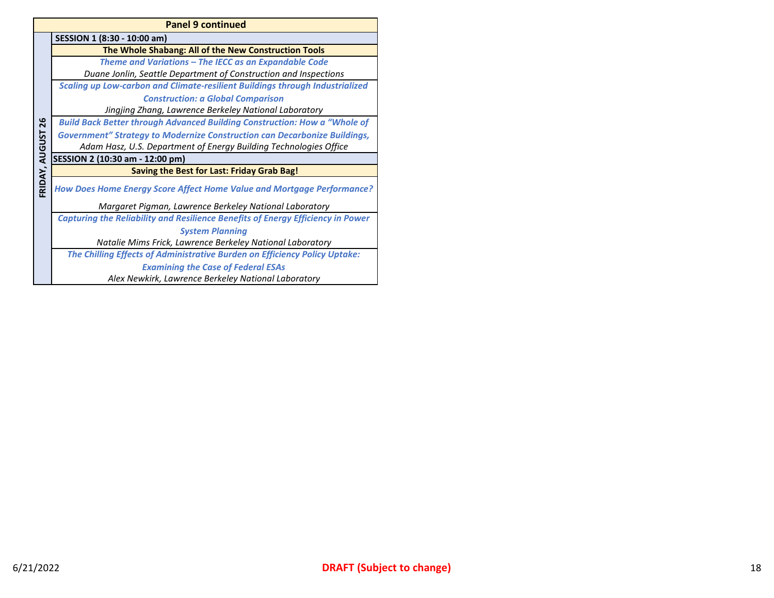|                | <b>Panel 9 continued</b>                                                               |  |  |  |
|----------------|----------------------------------------------------------------------------------------|--|--|--|
|                | SESSION 1 (8:30 - 10:00 am)                                                            |  |  |  |
|                | The Whole Shabang: All of the New Construction Tools                                   |  |  |  |
|                | Theme and Variations - The IECC as an Expandable Code                                  |  |  |  |
|                | Duane Jonlin, Seattle Department of Construction and Inspections                       |  |  |  |
|                | <b>Scaling up Low-carbon and Climate-resilient Buildings through Industrialized</b>    |  |  |  |
|                | <b>Construction: a Global Comparison</b>                                               |  |  |  |
|                | Jingjing Zhang, Lawrence Berkeley National Laboratory                                  |  |  |  |
| 26             | <b>Build Back Better through Advanced Building Construction: How a "Whole of</b>       |  |  |  |
|                | <b>Government" Strategy to Modernize Construction can Decarbonize Buildings,</b>       |  |  |  |
|                | Adam Hasz, U.S. Department of Energy Building Technologies Office                      |  |  |  |
|                | SESSION 2 (10:30 am - 12:00 pm)                                                        |  |  |  |
|                | Saving the Best for Last: Friday Grab Bag!                                             |  |  |  |
| FRIDAY, AUGUST | <b>How Does Home Energy Score Affect Home Value and Mortgage Performance?</b>          |  |  |  |
|                | Margaret Pigman, Lawrence Berkeley National Laboratory                                 |  |  |  |
|                | <b>Capturing the Reliability and Resilience Benefits of Energy Efficiency in Power</b> |  |  |  |
|                | <b>System Planning</b>                                                                 |  |  |  |
|                | Natalie Mims Frick, Lawrence Berkeley National Laboratory                              |  |  |  |
|                | The Chilling Effects of Administrative Burden on Efficiency Policy Uptake:             |  |  |  |
|                | <b>Examining the Case of Federal ESAs</b>                                              |  |  |  |
|                | Alex Newkirk, Lawrence Berkeley National Laboratory                                    |  |  |  |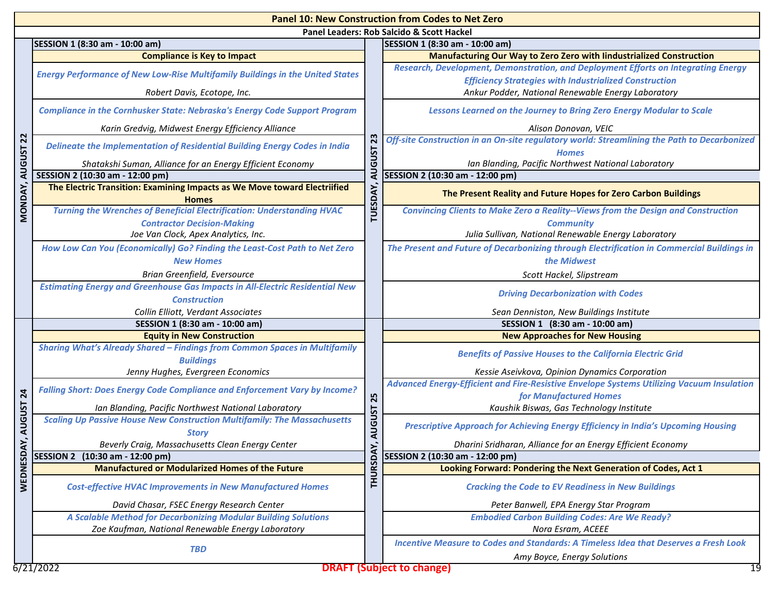|                | <b>Panel 10: New Construction from Codes to Net Zero</b>                                        |                     |                                                                                                             |  |  |  |
|----------------|-------------------------------------------------------------------------------------------------|---------------------|-------------------------------------------------------------------------------------------------------------|--|--|--|
|                | Panel Leaders: Rob Salcido & Scott Hackel                                                       |                     |                                                                                                             |  |  |  |
|                | SESSION 1 (8:30 am - 10:00 am)                                                                  |                     | SESSION 1 (8:30 am - 10:00 am)                                                                              |  |  |  |
|                | <b>Compliance is Key to Impact</b>                                                              |                     | Manufacturing Our Way to Zero Zero with lindustrialized Construction                                        |  |  |  |
|                | <b>Energy Performance of New Low-Rise Multifamily Buildings in the United States</b>            |                     | Research, Development, Demonstration, and Deployment Efforts on Integrating Energy                          |  |  |  |
|                |                                                                                                 |                     | <b>Efficiency Strategies with Industrialized Construction</b>                                               |  |  |  |
|                | Robert Davis, Ecotope, Inc.                                                                     |                     | Ankur Podder, National Renewable Energy Laboratory                                                          |  |  |  |
|                | <b>Compliance in the Cornhusker State: Nebraska's Energy Code Support Program</b>               |                     | Lessons Learned on the Journey to Bring Zero Energy Modular to Scale                                        |  |  |  |
|                | Karin Gredvig, Midwest Energy Efficiency Alliance                                               |                     | Alison Donovan, VEIC                                                                                        |  |  |  |
| $\overline{2}$ | Delineate the Implementation of Residential Building Energy Codes in India                      | 23                  | Off-site Construction in an On-site regulatory world: Streamlining the Path to Decarbonized<br><b>Homes</b> |  |  |  |
| <b>AUGUST</b>  | Shatakshi Suman, Alliance for an Energy Efficient Economy                                       | <b>AUGUST</b>       | Ian Blanding, Pacific Northwest National Laboratory                                                         |  |  |  |
|                | SESSION 2 (10:30 am - 12:00 pm)                                                                 |                     | SESSION 2 (10:30 am - 12:00 pm)                                                                             |  |  |  |
| MONDAY,        | The Electric Transition: Examining Impacts as We Move toward Electriified                       | TUESDAY,            | The Present Reality and Future Hopes for Zero Carbon Buildings                                              |  |  |  |
|                | <b>Homes</b>                                                                                    |                     |                                                                                                             |  |  |  |
|                | <b>Turning the Wrenches of Beneficial Electrification: Understanding HVAC</b>                   |                     | <b>Convincing Clients to Make Zero a Reality--Views from the Design and Construction</b>                    |  |  |  |
|                | <b>Contractor Decision-Making</b>                                                               |                     | <b>Community</b>                                                                                            |  |  |  |
|                | Joe Van Clock, Apex Analytics, Inc.                                                             |                     | Julia Sullivan, National Renewable Energy Laboratory                                                        |  |  |  |
|                | How Low Can You (Economically) Go? Finding the Least-Cost Path to Net Zero                      |                     | The Present and Future of Decarbonizing through Electrification in Commercial Buildings in                  |  |  |  |
|                | <b>New Homes</b>                                                                                |                     | the Midwest                                                                                                 |  |  |  |
|                | Brian Greenfield, Eversource                                                                    |                     | Scott Hackel, Slipstream                                                                                    |  |  |  |
|                | <b>Estimating Energy and Greenhouse Gas Impacts in All-Electric Residential New</b>             |                     | <b>Driving Decarbonization with Codes</b>                                                                   |  |  |  |
|                | <b>Construction</b>                                                                             |                     |                                                                                                             |  |  |  |
|                | Collin Elliott, Verdant Associates<br>SESSION 1 (8:30 am - 10:00 am)                            |                     | Sean Denniston, New Buildings Institute<br>SESSION 1 (8:30 am - 10:00 am)                                   |  |  |  |
|                | <b>Equity in New Construction</b>                                                               |                     | <b>New Approaches for New Housing</b>                                                                       |  |  |  |
|                | <b>Sharing What's Already Shared - Findings from Common Spaces in Multifamily</b>               |                     |                                                                                                             |  |  |  |
|                | <b>Buildings</b>                                                                                |                     | <b>Benefits of Passive Houses to the California Electric Grid</b>                                           |  |  |  |
|                | Jenny Hughes, Evergreen Economics                                                               |                     | Kessie Aseivkova, Opinion Dynamics Corporation                                                              |  |  |  |
|                | <b>Falling Short: Does Energy Code Compliance and Enforcement Vary by Income?</b>               |                     | Advanced Energy-Efficient and Fire-Resistive Envelope Systems Utilizing Vacuum Insulation                   |  |  |  |
| 24             |                                                                                                 |                     | for Manufactured Homes                                                                                      |  |  |  |
|                | Ian Blanding, Pacific Northwest National Laboratory                                             |                     | Kaushik Biswas, Gas Technology Institute                                                                    |  |  |  |
| <b>AUGUST</b>  | <b>Scaling Up Passive House New Construction Multifamily: The Massachusetts</b><br><b>Story</b> | AUGUST 25           | Prescriptive Approach for Achieving Energy Efficiency in India's Upcoming Housing                           |  |  |  |
| ÀY,            | Beverly Craig, Massachusetts Clean Energy Center                                                | $\overline{\Sigma}$ | Dharini Sridharan, Alliance for an Energy Efficient Economy                                                 |  |  |  |
|                | SESSION 2 (10:30 am - 12:00 pm)                                                                 |                     | SESSION 2 (10:30 am - 12:00 pm)                                                                             |  |  |  |
|                | <b>Manufactured or Modularized Homes of the Future</b>                                          |                     | Looking Forward: Pondering the Next Generation of Codes, Act 1                                              |  |  |  |
| WEDNESD        | <b>Cost-effective HVAC Improvements in New Manufactured Homes</b>                               | <b>THURSD/</b>      | <b>Cracking the Code to EV Readiness in New Buildings</b>                                                   |  |  |  |
|                | David Chasar, FSEC Energy Research Center                                                       |                     | Peter Banwell, EPA Energy Star Program                                                                      |  |  |  |
|                | A Scalable Method for Decarbonizing Modular Building Solutions                                  |                     | <b>Embodied Carbon Building Codes: Are We Ready?</b>                                                        |  |  |  |
|                | Zoe Kaufman, National Renewable Energy Laboratory                                               |                     | Nora Esram, ACEEE                                                                                           |  |  |  |
|                |                                                                                                 |                     | Incentive Measure to Codes and Standards: A Timeless Idea that Deserves a Fresh Look                        |  |  |  |
|                | <b>TBD</b>                                                                                      |                     | Amy Boyce, Energy Solutions                                                                                 |  |  |  |
|                | 6/21/2022                                                                                       |                     | <b>DRAFT (Subject to change)</b><br>19                                                                      |  |  |  |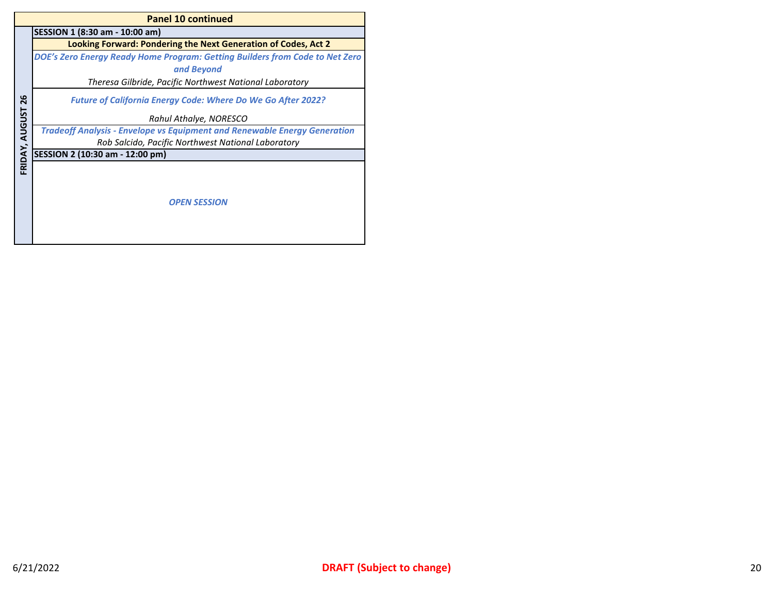|                | <b>Panel 10 continued</b>                                                        |  |  |  |
|----------------|----------------------------------------------------------------------------------|--|--|--|
|                | SESSION 1 (8:30 am - 10:00 am)                                                   |  |  |  |
|                | <b>Looking Forward: Pondering the Next Generation of Codes, Act 2</b>            |  |  |  |
|                | DOE's Zero Energy Ready Home Program: Getting Builders from Code to Net Zero     |  |  |  |
|                | and Beyond                                                                       |  |  |  |
|                | Theresa Gilbride, Pacific Northwest National Laboratory                          |  |  |  |
| 26             | <b>Future of California Energy Code: Where Do We Go After 2022?</b>              |  |  |  |
|                | Rahul Athalye, NORESCO                                                           |  |  |  |
|                | <b>Tradeoff Analysis - Envelope vs Equipment and Renewable Energy Generation</b> |  |  |  |
|                | Rob Salcido, Pacific Northwest National Laboratory                               |  |  |  |
|                | SESSION 2 (10:30 am - 12:00 pm)                                                  |  |  |  |
| FRIDAY, AUGUST | <b>OPEN SESSION</b>                                                              |  |  |  |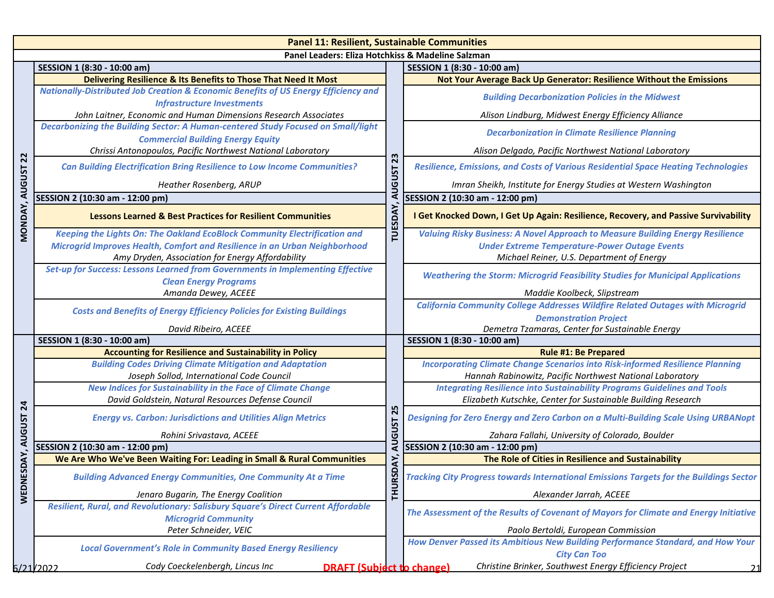|                 | <b>Panel 11: Resilient, Sustainable Communities</b>                                                                                 |                                                                                       |                                                                                                                                                    |  |  |  |
|-----------------|-------------------------------------------------------------------------------------------------------------------------------------|---------------------------------------------------------------------------------------|----------------------------------------------------------------------------------------------------------------------------------------------------|--|--|--|
|                 | Panel Leaders: Eliza Hotchkiss & Madeline Salzman                                                                                   |                                                                                       |                                                                                                                                                    |  |  |  |
|                 | SESSION 1 (8:30 - 10:00 am)                                                                                                         |                                                                                       | SESSION 1 (8:30 - 10:00 am)                                                                                                                        |  |  |  |
|                 | Delivering Resilience & Its Benefits to Those That Need It Most                                                                     |                                                                                       | Not Your Average Back Up Generator: Resilience Without the Emissions                                                                               |  |  |  |
|                 | <b>Nationally-Distributed Job Creation &amp; Economic Benefits of US Energy Efficiency and</b><br><b>Infrastructure Investments</b> |                                                                                       | <b>Building Decarbonization Policies in the Midwest</b>                                                                                            |  |  |  |
|                 | John Laitner, Economic and Human Dimensions Research Associates                                                                     |                                                                                       | Alison Lindburg, Midwest Energy Efficiency Alliance                                                                                                |  |  |  |
|                 | Decarbonizing the Building Sector: A Human-centered Study Focused on Small/light<br><b>Commercial Building Energy Equity</b>        |                                                                                       | <b>Decarbonization in Climate Resilience Planning</b>                                                                                              |  |  |  |
|                 | Chrissi Antonopoulos, Pacific Northwest National Laboratory                                                                         |                                                                                       | Alison Delgado, Pacific Northwest National Laboratory                                                                                              |  |  |  |
| 22              | <b>Can Building Electrification Bring Resilience to Low Income Communities?</b>                                                     | 23<br><b>AUGUST</b>                                                                   | Resilience, Emissions, and Costs of Various Residential Space Heating Technologies                                                                 |  |  |  |
|                 | Heather Rosenberg, ARUP                                                                                                             |                                                                                       | Imran Sheikh, Institute for Energy Studies at Western Washington                                                                                   |  |  |  |
|                 | SESSION 2 (10:30 am - 12:00 pm)                                                                                                     |                                                                                       | SESSION 2 (10:30 am - 12:00 pm)                                                                                                                    |  |  |  |
| MONDAY, AUGUST  | <b>Lessons Learned &amp; Best Practices for Resilient Communities</b>                                                               | <b>TUESDAY</b>                                                                        | I Get Knocked Down, I Get Up Again: Resilience, Recovery, and Passive Survivability                                                                |  |  |  |
|                 | <b>Keeping the Lights On: The Oakland EcoBlock Community Electrification and</b>                                                    |                                                                                       | <b>Valuing Risky Business: A Novel Approach to Measure Building Energy Resilience</b>                                                              |  |  |  |
|                 | Microgrid Improves Health, Comfort and Resilience in an Urban Neighborhood                                                          |                                                                                       | <b>Under Extreme Temperature-Power Outage Events</b>                                                                                               |  |  |  |
|                 | Amy Dryden, Association for Energy Affordability                                                                                    |                                                                                       | Michael Reiner, U.S. Department of Energy                                                                                                          |  |  |  |
|                 | Set-up for Success: Lessons Learned from Governments in Implementing Effective<br><b>Clean Energy Programs</b>                      |                                                                                       | <b>Weathering the Storm: Microgrid Feasibility Studies for Municipal Applications</b>                                                              |  |  |  |
|                 | Amanda Dewey, ACEEE                                                                                                                 |                                                                                       | Maddie Koolbeck, Slipstream                                                                                                                        |  |  |  |
|                 | <b>Costs and Benefits of Energy Efficiency Policies for Existing Buildings</b>                                                      | <b>California Community College Addresses Wildfire Related Outages with Microgrid</b> |                                                                                                                                                    |  |  |  |
|                 |                                                                                                                                     |                                                                                       | <b>Demonstration Project</b>                                                                                                                       |  |  |  |
|                 | David Ribeiro, ACEEE                                                                                                                |                                                                                       | Demetra Tzamaras, Center for Sustainable Energy                                                                                                    |  |  |  |
|                 | SESSION 1 (8:30 - 10:00 am)                                                                                                         |                                                                                       | SESSION 1 (8:30 - 10:00 am)                                                                                                                        |  |  |  |
|                 | <b>Accounting for Resilience and Sustainability in Policy</b>                                                                       |                                                                                       | <b>Rule #1: Be Prepared</b>                                                                                                                        |  |  |  |
|                 | <b>Building Codes Driving Climate Mitigation and Adaptation</b>                                                                     |                                                                                       | <b>Incorporating Climate Change Scenarios into Risk-informed Resilience Planning</b>                                                               |  |  |  |
|                 | Joseph Sollod, International Code Council                                                                                           |                                                                                       | Hannah Rabinowitz, Pacific Northwest National Laboratory                                                                                           |  |  |  |
|                 | <b>New Indices for Sustainability in the Face of Climate Change</b>                                                                 |                                                                                       | <b>Integrating Resilience into Sustainability Programs Guidelines and Tools</b>                                                                    |  |  |  |
| $\overline{24}$ | David Goldstein, Natural Resources Defense Council<br><b>Energy vs. Carbon: Jurisdictions and Utilities Align Metrics</b>           | 25                                                                                    | Elizabeth Kutschke, Center for Sustainable Building Research<br>Designing for Zero Energy and Zero Carbon on a Multi-Building Scale Using URBANopt |  |  |  |
| <b>AUGUST</b>   | Rohini Srivastava, ACEEE                                                                                                            |                                                                                       | Zahara Fallahi, University of Colorado, Boulder                                                                                                    |  |  |  |
|                 | <b>AUGUST</b><br>SESSION 2 (10:30 am - 12:00 pm)                                                                                    |                                                                                       | SESSION 2 (10:30 am - 12:00 pm)                                                                                                                    |  |  |  |
| DAY,            | We Are Who We've Been Waiting For: Leading in Small & Rural Communities                                                             | XY,                                                                                   | The Role of Cities in Resilience and Sustainability                                                                                                |  |  |  |
| WEDNES          | <b>Building Advanced Energy Communities, One Community At a Time</b>                                                                | <b>THURSD</b>                                                                         | Tracking City Progress towards International Emissions Targets for the Buildings Sector                                                            |  |  |  |
|                 | Jenaro Bugarin, The Energy Coalition                                                                                                |                                                                                       | Alexander Jarrah, ACEEE                                                                                                                            |  |  |  |
|                 | Resilient, Rural, and Revolutionary: Salisbury Square's Direct Current Affordable<br><b>Microgrid Community</b>                     |                                                                                       | The Assessment of the Results of Covenant of Mayors for Climate and Energy Initiative                                                              |  |  |  |
|                 | Peter Schneider, VEIC                                                                                                               |                                                                                       | Paolo Bertoldi, European Commission                                                                                                                |  |  |  |
|                 | <b>Local Government's Role in Community Based Energy Resiliency</b>                                                                 |                                                                                       | How Denver Passed its Ambitious New Building Performance Standard, and How Your<br><b>City Can Too</b>                                             |  |  |  |
|                 | Cody Coeckelenbergh, Lincus Inc<br><b>DRAFT (Subject to change)</b><br>6/21/2022                                                    |                                                                                       | Christine Brinker, Southwest Energy Efficiency Project                                                                                             |  |  |  |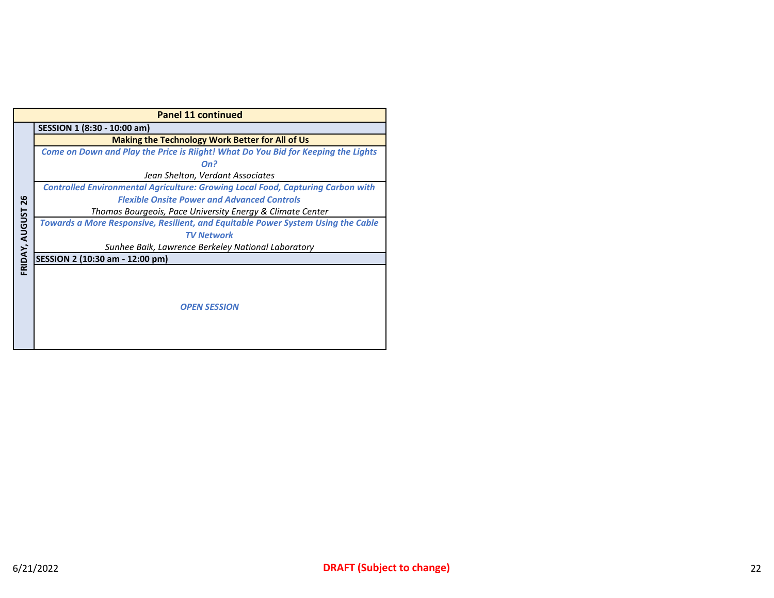|                | <b>Panel 11 continued</b>                                                              |  |  |  |  |
|----------------|----------------------------------------------------------------------------------------|--|--|--|--|
|                | SESSION 1 (8:30 - 10:00 am)                                                            |  |  |  |  |
|                | <b>Making the Technology Work Better for All of Us</b>                                 |  |  |  |  |
|                | Come on Down and Play the Price is Riight! What Do You Bid for Keeping the Lights      |  |  |  |  |
|                | On?                                                                                    |  |  |  |  |
|                | Jean Shelton, Verdant Associates                                                       |  |  |  |  |
|                | <b>Controlled Environmental Agriculture: Growing Local Food, Capturing Carbon with</b> |  |  |  |  |
| 26             | <b>Flexible Onsite Power and Advanced Controls</b>                                     |  |  |  |  |
|                | Thomas Bourgeois, Pace University Energy & Climate Center                              |  |  |  |  |
|                | Towards a More Responsive, Resilient, and Equitable Power System Using the Cable       |  |  |  |  |
|                | <b>TV Network</b>                                                                      |  |  |  |  |
|                | Sunhee Baik, Lawrence Berkeley National Laboratory                                     |  |  |  |  |
| FRIDAY, AUGUST | SESSION 2 (10:30 am - 12:00 pm)                                                        |  |  |  |  |
|                |                                                                                        |  |  |  |  |
|                |                                                                                        |  |  |  |  |
|                |                                                                                        |  |  |  |  |
|                | <b>OPEN SESSION</b>                                                                    |  |  |  |  |
|                |                                                                                        |  |  |  |  |
|                |                                                                                        |  |  |  |  |
|                |                                                                                        |  |  |  |  |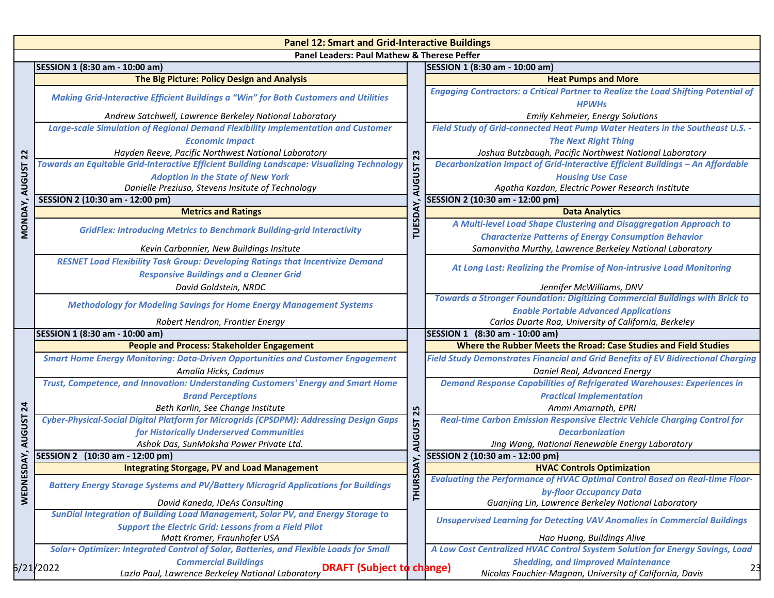|                  | <b>Panel 12: Smart and Grid-Interactive Buildings</b>                                                              |                      |                                                                                                           |  |  |  |
|------------------|--------------------------------------------------------------------------------------------------------------------|----------------------|-----------------------------------------------------------------------------------------------------------|--|--|--|
|                  | <b>Panel Leaders: Paul Mathew &amp; Therese Peffer</b>                                                             |                      |                                                                                                           |  |  |  |
|                  | SESSION 1 (8:30 am - 10:00 am)                                                                                     |                      | SESSION 1 (8:30 am - 10:00 am)                                                                            |  |  |  |
|                  | The Big Picture: Policy Design and Analysis                                                                        |                      | <b>Heat Pumps and More</b>                                                                                |  |  |  |
|                  | Making Grid-Interactive Efficient Buildings a "Win" for Both Customers and Utilities                               |                      | <b>Engaging Contractors: a Critical Partner to Realize the Load Shifting Potential of</b><br><b>HPWHs</b> |  |  |  |
|                  | Andrew Satchwell, Lawrence Berkeley National Laboratory                                                            |                      | Emily Kehmeier, Energy Solutions                                                                          |  |  |  |
|                  | Large-scale Simulation of Regional Demand Flexibility Implementation and Customer                                  |                      | Field Study of Grid-connected Heat Pump Water Heaters in the Southeast U.S. -                             |  |  |  |
|                  | <b>Economic Impact</b>                                                                                             |                      | <b>The Next Right Thing</b>                                                                               |  |  |  |
|                  | Hayden Reeve, Pacific Northwest National Laboratory                                                                |                      | Joshua Butzbaugh, Pacific Northwest National Laboratory                                                   |  |  |  |
| <b>AUGUST 22</b> | Towards an Equitable Grid-Interactive Efficient Building Landscape: Visualizing Technology                         | AUGUST <sub>23</sub> | Decarbonization Impact of Grid-Interactive Efficient Buildings - An Affordable                            |  |  |  |
|                  | <b>Adoption in the State of New York</b>                                                                           |                      | <b>Housing Use Case</b>                                                                                   |  |  |  |
|                  | Danielle Preziuso, Stevens Insitute of Technology                                                                  |                      | Agatha Kazdan, Electric Power Research Institute                                                          |  |  |  |
|                  | SESSION 2 (10:30 am - 12:00 pm)                                                                                    |                      | SESSION 2 (10:30 am - 12:00 pm)                                                                           |  |  |  |
| MONDAY,          | <b>Metrics and Ratings</b>                                                                                         | <b>TUESDAY</b>       | <b>Data Analytics</b>                                                                                     |  |  |  |
|                  | <b>GridFlex: Introducing Metrics to Benchmark Building-grid Interactivity</b>                                      |                      | A Multi-level Load Shape Clustering and Disaggregation Approach to                                        |  |  |  |
|                  |                                                                                                                    |                      | <b>Characterize Patterns of Energy Consumption Behavior</b>                                               |  |  |  |
|                  | Kevin Carbonnier, New Buildings Insitute                                                                           |                      | Samanvitha Murthy, Lawrence Berkeley National Laboratory                                                  |  |  |  |
|                  | <b>RESNET Load Flexibility Task Group: Developing Ratings that Incentivize Demand</b>                              |                      | At Long Last: Realizing the Promise of Non-intrusive Load Monitoring                                      |  |  |  |
|                  | <b>Responsive Buildings and a Cleaner Grid</b>                                                                     |                      |                                                                                                           |  |  |  |
|                  | David Goldstein, NRDC                                                                                              |                      | Jennifer McWilliams, DNV                                                                                  |  |  |  |
|                  | <b>Methodology for Modeling Savings for Home Energy Management Systems</b>                                         |                      | <b>Towards a Stronger Foundation: Digitizing Commercial Buildings with Brick to</b>                       |  |  |  |
|                  |                                                                                                                    |                      | <b>Enable Portable Advanced Applications</b>                                                              |  |  |  |
|                  | Robert Hendron, Frontier Energy                                                                                    |                      | Carlos Duarte Roa, University of California, Berkeley                                                     |  |  |  |
|                  | SESSION 1 (8:30 am - 10:00 am)                                                                                     |                      | SESSION 1 (8:30 am - 10:00 am)                                                                            |  |  |  |
|                  | <b>People and Process: Stakeholder Engagement</b>                                                                  |                      | Where the Rubber Meets the Rroad: Case Studies and Field Studies                                          |  |  |  |
|                  | <b>Smart Home Energy Monitoring: Data-Driven Opportunities and Customer Engagement</b>                             |                      | <b>Field Study Demonstrates Financial and Grid Benefits of EV Bidirectional Charging</b>                  |  |  |  |
|                  | Amalia Hicks, Cadmus                                                                                               |                      | Daniel Real, Advanced Energy                                                                              |  |  |  |
|                  | Trust, Competence, and Innovation: Understanding Customers' Energy and Smart Home                                  |                      | <b>Demand Response Capabilities of Refrigerated Warehouses: Experiences in</b>                            |  |  |  |
|                  | <b>Brand Perceptions</b>                                                                                           |                      | <b>Practical Implementation</b>                                                                           |  |  |  |
| $\overline{a}$   | Beth Karlin, See Change Institute                                                                                  | 25                   | Ammi Amarnath, EPRI                                                                                       |  |  |  |
| <b>AUGUST</b>    | Cyber-Physical-Social Digital Platform for Microgrids (CPSDPM): Addressing Design Gaps                             |                      | Real-time Carbon Emission Responsive Electric Vehicle Charging Control for                                |  |  |  |
|                  | for Historically Underserved Communities                                                                           | <b>AUGUST</b>        | <b>Decarbonization</b>                                                                                    |  |  |  |
|                  | Ashok Das, SunMoksha Power Private Ltd.                                                                            |                      | Jing Wang, National Renewable Energy Laboratory                                                           |  |  |  |
| DAY,             | SESSION 2 (10:30 am - 12:00 pm)                                                                                    | <b>XX</b>            | SESSION 2 (10:30 am - 12:00 pm)                                                                           |  |  |  |
|                  | <b>Integrating Storgage, PV and Load Management</b>                                                                |                      | <b>HVAC Controls Optimization</b>                                                                         |  |  |  |
| WEDNES           | <b>Battery Energy Storage Systems and PV/Battery Microgrid Applications for Buildings</b>                          | <b>THURSD</b>        | <b>Evaluating the Performance of HVAC Optimal Control Based on Real-time Floor-</b>                       |  |  |  |
|                  |                                                                                                                    |                      | by-floor Occupancy Data                                                                                   |  |  |  |
|                  | David Kaneda, IDeAs Consulting<br>SunDial Integration of Building Load Management, Solar PV, and Energy Storage to |                      | Guanjing Lin, Lawrence Berkeley National Laboratory                                                       |  |  |  |
|                  | <b>Support the Electric Grid: Lessons from a Field Pilot</b>                                                       |                      | <b>Unsupervised Learning for Detecting VAV Anomalies in Commercial Buildings</b>                          |  |  |  |
|                  | Matt Kromer, Fraunhofer USA                                                                                        |                      | Hao Huang, Buildings Alive                                                                                |  |  |  |
|                  | Solar+ Optimizer: Integrated Control of Solar, Batteries, and Flexible Loads for Small                             |                      | A Low Cost Centralized HVAC Control Ssystem Solution for Energy Savings, Load                             |  |  |  |
|                  | <b>Commercial Buildings</b>                                                                                        |                      | <b>Shedding, and limproved Maintenance</b>                                                                |  |  |  |
|                  | 6/21/2022<br>Lazlo Paul, Lawrence Berkeley National Laboratory <b>DRAFT (Subject to change)</b>                    |                      | 23<br>Nicolas Fauchier-Magnan, University of California, Davis                                            |  |  |  |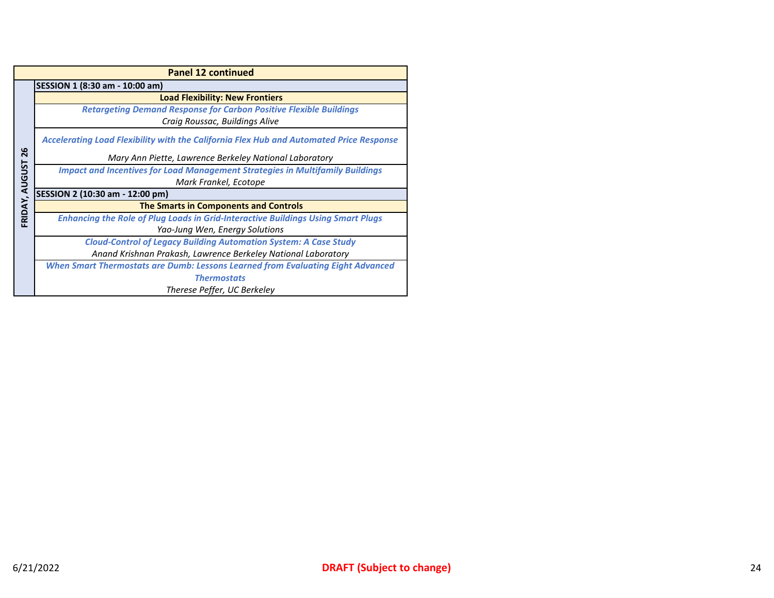|                | <b>Panel 12 continued</b>                                                                      |  |  |  |
|----------------|------------------------------------------------------------------------------------------------|--|--|--|
|                | SESSION 1 (8:30 am - 10:00 am)                                                                 |  |  |  |
|                | <b>Load Flexibility: New Frontiers</b>                                                         |  |  |  |
|                | <b>Retargeting Demand Response for Carbon Positive Flexible Buildings</b>                      |  |  |  |
|                | Craig Roussac, Buildings Alive                                                                 |  |  |  |
|                | <b>Accelerating Load Flexibility with the California Flex Hub and Automated Price Response</b> |  |  |  |
| 26             | Mary Ann Piette, Lawrence Berkeley National Laboratory                                         |  |  |  |
| FRIDAY, AUGUST | <b>Impact and Incentives for Load Management Strategies in Multifamily Buildings</b>           |  |  |  |
|                | Mark Frankel, Ecotope                                                                          |  |  |  |
|                | SESSION 2 (10:30 am - 12:00 pm)                                                                |  |  |  |
|                | <b>The Smarts in Components and Controls</b>                                                   |  |  |  |
|                | <b>Enhancing the Role of Plug Loads in Grid-Interactive Buildings Using Smart Plugs</b>        |  |  |  |
|                | Yao-Jung Wen, Energy Solutions                                                                 |  |  |  |
|                | <b>Cloud-Control of Legacy Building Automation System: A Case Study</b>                        |  |  |  |
|                | Anand Krishnan Prakash, Lawrence Berkeley National Laboratory                                  |  |  |  |
|                | When Smart Thermostats are Dumb: Lessons Learned from Evaluating Eight Advanced                |  |  |  |
|                | <b>Thermostats</b>                                                                             |  |  |  |
|                | Therese Peffer, UC Berkeley                                                                    |  |  |  |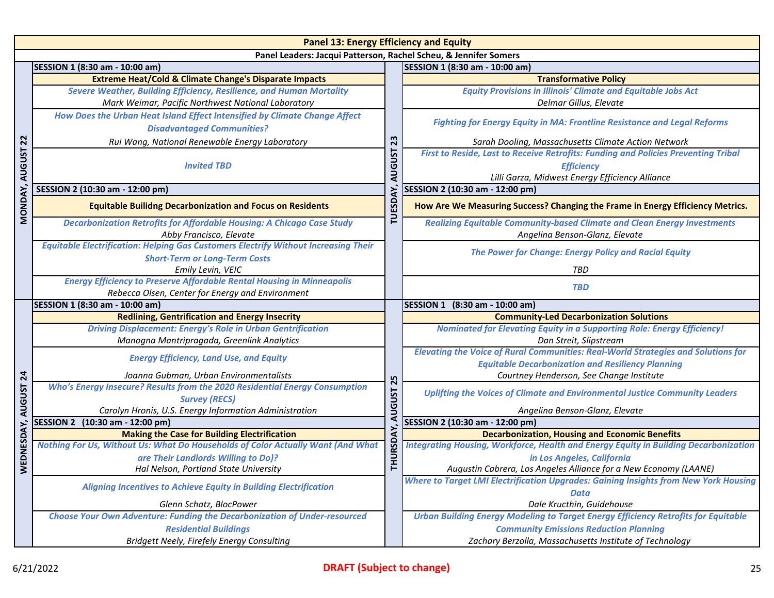| <b>Panel 13: Energy Efficiency and Equity</b>                    |                                                                                                                                    |                                        |                                                                                                                                                            |  |
|------------------------------------------------------------------|------------------------------------------------------------------------------------------------------------------------------------|----------------------------------------|------------------------------------------------------------------------------------------------------------------------------------------------------------|--|
| Panel Leaders: Jacqui Patterson, Rachel Scheu, & Jennifer Somers |                                                                                                                                    |                                        |                                                                                                                                                            |  |
|                                                                  | SESSION 1 (8:30 am - 10:00 am)                                                                                                     |                                        | SESSION 1 (8:30 am - 10:00 am)                                                                                                                             |  |
|                                                                  | <b>Extreme Heat/Cold &amp; Climate Change's Disparate Impacts</b>                                                                  |                                        | <b>Transformative Policy</b>                                                                                                                               |  |
|                                                                  | <b>Severe Weather, Building Efficiency, Resilience, and Human Mortality</b>                                                        |                                        | <b>Equity Provisions in Illinois' Climate and Equitable Jobs Act</b>                                                                                       |  |
|                                                                  | Mark Weimar, Pacific Northwest National Laboratory                                                                                 |                                        | Delmar Gillus, Elevate                                                                                                                                     |  |
|                                                                  | How Does the Urban Heat Island Effect Intensified by Climate Change Affect<br><b>Disadvantaged Communities?</b>                    |                                        | <b>Fighting for Energy Equity in MA: Frontline Resistance and Legal Reforms</b>                                                                            |  |
| $\overline{2}$                                                   | Rui Wang, National Renewable Energy Laboratory                                                                                     | 23                                     | Sarah Dooling, Massachusetts Climate Action Network                                                                                                        |  |
| MONDAY, AUGUST                                                   | <b>Invited TBD</b>                                                                                                                 | <b>AUGUST</b><br>ÀY.<br><b>TUESD</b>   | First to Reside, Last to Receive Retrofits: Funding and Policies Preventing Tribal<br><b>Efficiency</b><br>Lilli Garza, Midwest Energy Efficiency Alliance |  |
|                                                                  | SESSION 2 (10:30 am - 12:00 pm)                                                                                                    |                                        | SESSION 2 (10:30 am - 12:00 pm)                                                                                                                            |  |
|                                                                  | <b>Equitable Builidng Decarbonization and Focus on Residents</b>                                                                   |                                        | How Are We Measuring Success? Changing the Frame in Energy Efficiency Metrics.                                                                             |  |
|                                                                  | <b>Decarbonization Retrofits for Affordable Housing: A Chicago Case Study</b><br>Abby Francisco, Elevate                           |                                        | <b>Realizing Equitable Community-based Climate and Clean Energy Investments</b><br>Angelina Benson-Glanz, Elevate                                          |  |
|                                                                  | <b>Equitable Electrification: Helping Gas Customers Electrify Without Increasing Their</b><br><b>Short-Term or Long-Term Costs</b> |                                        | <b>The Power for Change: Energy Policy and Racial Equity</b>                                                                                               |  |
|                                                                  | Emily Levin, VEIC                                                                                                                  |                                        | TBD                                                                                                                                                        |  |
|                                                                  | <b>Energy Efficiency to Preserve Affordable Rental Housing in Minneapolis</b><br>Rebecca Olsen, Center for Energy and Environment  |                                        | <b>TBD</b>                                                                                                                                                 |  |
|                                                                  | SESSION 1 (8:30 am - 10:00 am)                                                                                                     |                                        | SESSION 1 (8:30 am - 10:00 am)                                                                                                                             |  |
|                                                                  | <b>Redlining, Gentrification and Energy Insecrity</b>                                                                              | 25<br><b>AUGUST</b><br><b>THURSDAY</b> | <b>Community-Led Decarbonization Solutions</b>                                                                                                             |  |
|                                                                  | <b>Driving Displacement: Energy's Role in Urban Gentrification</b>                                                                 |                                        | <b>Nominated for Elevating Equity in a Supporting Role: Energy Efficiency!</b>                                                                             |  |
|                                                                  | Manogna Mantripragada, Greenlink Analytics                                                                                         |                                        | Dan Streit, Slipstream                                                                                                                                     |  |
|                                                                  | <b>Energy Efficiency, Land Use, and Equity</b>                                                                                     |                                        | <b>Elevating the Voice of Rural Communities: Real-World Strategies and Solutions for</b><br><b>Equitable Decarbonization and Resiliency Planning</b>       |  |
|                                                                  | Joanna Gubman, Urban Environmentalists                                                                                             |                                        | Courtney Henderson, See Change Institute                                                                                                                   |  |
| <b>NEDNESDAY, AUGUST 24</b>                                      | Who's Energy Insecure? Results from the 2020 Residential Energy Consumption<br><b>Survey (RECS)</b>                                |                                        | Uplifting the Voices of Climate and Environmental Justice Community Leaders                                                                                |  |
|                                                                  | Carolyn Hronis, U.S. Energy Information Administration                                                                             |                                        | Angelina Benson-Glanz, Elevate                                                                                                                             |  |
|                                                                  | SESSION 2 (10:30 am - 12:00 pm)                                                                                                    |                                        | SESSION 2 (10:30 am - 12:00 pm)                                                                                                                            |  |
|                                                                  | <b>Making the Case for Building Electrification</b>                                                                                |                                        | <b>Decarbonization, Housing and Economic Benefits</b>                                                                                                      |  |
|                                                                  | Nothing For Us, Without Us: What Do Households of Color Actually Want (And What                                                    |                                        | <b>Integrating Housing, Workforce, Health and Energy Equity in Building Decarbonization</b>                                                                |  |
|                                                                  | are Their Landlords Willing to Do)?                                                                                                |                                        | in Los Angeles, California                                                                                                                                 |  |
|                                                                  | Hal Nelson, Portland State University                                                                                              |                                        | Augustin Cabrera, Los Angeles Alliance for a New Economy (LAANE)                                                                                           |  |
|                                                                  | <b>Aligning Incentives to Achieve Equity in Building Electrification</b>                                                           |                                        | Where to Target LMI Electrification Upgrades: Gaining Insights from New York Housing<br><b>Data</b>                                                        |  |
|                                                                  | Glenn Schatz, BlocPower                                                                                                            |                                        | Dale Kructhin, Guidehouse                                                                                                                                  |  |
|                                                                  | <b>Choose Your Own Adventure: Funding the Decarbonization of Under-resourced</b>                                                   |                                        | <b>Urban Building Energy Modeling to Target Energy Efficiency Retrofits for Equitable</b>                                                                  |  |
|                                                                  | <b>Residential Buildings</b>                                                                                                       |                                        | <b>Community Emissions Reduction Planning</b>                                                                                                              |  |
|                                                                  | Bridgett Neely, Firefely Energy Consulting                                                                                         |                                        | Zachary Berzolla, Massachusetts Institute of Technology                                                                                                    |  |